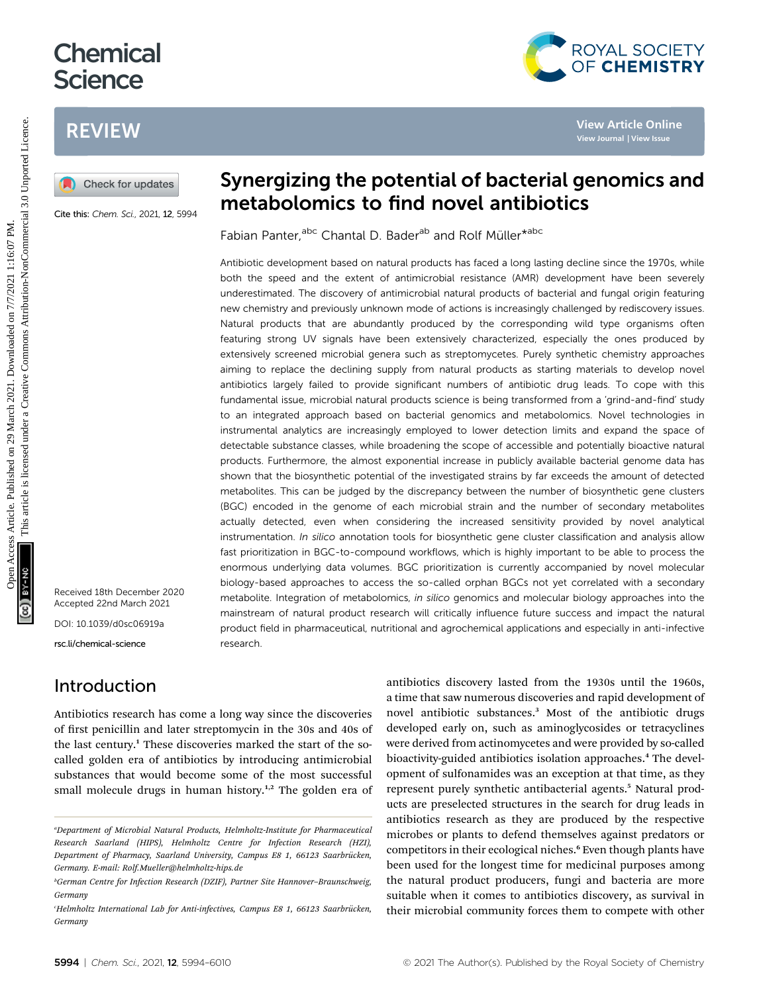# **Chemical Science**

# REVIEW

Cite this: Chem. Sci., 2021, 12, 5994

## Synergizing the potential of bacterial genomics and metabolomics to find novel antibiotics

Fabian Panter,<sup>abc</sup> Chantal D. Bader<sup>ab</sup> and Rolf Müller<sup>\*abc</sup>

Antibiotic development based on natural products has faced a long lasting decline since the 1970s, while both the speed and the extent of antimicrobial resistance (AMR) development have been severely underestimated. The discovery of antimicrobial natural products of bacterial and fungal origin featuring new chemistry and previously unknown mode of actions is increasingly challenged by rediscovery issues. Natural products that are abundantly produced by the corresponding wild type organisms often featuring strong UV signals have been extensively characterized, especially the ones produced by extensively screened microbial genera such as streptomycetes. Purely synthetic chemistry approaches aiming to replace the declining supply from natural products as starting materials to develop novel antibiotics largely failed to provide significant numbers of antibiotic drug leads. To cope with this fundamental issue, microbial natural products science is being transformed from a 'grind-and-find' study to an integrated approach based on bacterial genomics and metabolomics. Novel technologies in instrumental analytics are increasingly employed to lower detection limits and expand the space of detectable substance classes, while broadening the scope of accessible and potentially bioactive natural products. Furthermore, the almost exponential increase in publicly available bacterial genome data has shown that the biosynthetic potential of the investigated strains by far exceeds the amount of detected metabolites. This can be judged by the discrepancy between the number of biosynthetic gene clusters (BGC) encoded in the genome of each microbial strain and the number of secondary metabolites actually detected, even when considering the increased sensitivity provided by novel analytical instrumentation. In silico annotation tools for biosynthetic gene cluster classification and analysis allow fast prioritization in BGC-to-compound workflows, which is highly important to be able to process the enormous underlying data volumes. BGC prioritization is currently accompanied by novel molecular biology-based approaches to access the so-called orphan BGCs not yet correlated with a secondary metabolite. Integration of metabolomics, in silico genomics and molecular biology approaches into the mainstream of natural product research will critically influence future success and impact the natural product field in pharmaceutical, nutritional and agrochemical applications and especially in anti-infective research. REVIEW Synergizing the potential of bacterial genomics and<br>  $\bullet$  Check for updates Synergizing the potential of bacterial genomics and<br>  $\bullet$  Check for updates and the control of the state of the state of the state of the

Received 18th December 2020 Accepted 22nd March 2021

DOI: 10.1039/d0sc06919a

rsc.li/chemical-science

## Introduction

Antibiotics research has come a long way since the discoveries of first penicillin and later streptomycin in the 30s and 40s of the last century.<sup>1</sup> These discoveries marked the start of the socalled golden era of antibiotics by introducing antimicrobial substances that would become some of the most successful small molecule drugs in human history.<sup>1,2</sup> The golden era of antibiotics discovery lasted from the 1930s until the 1960s, a time that saw numerous discoveries and rapid development of novel antibiotic substances.<sup>3</sup> Most of the antibiotic drugs developed early on, such as aminoglycosides or tetracyclines were derived from actinomycetes and were provided by so-called bioactivity-guided antibiotics isolation approaches.<sup>4</sup> The development of sulfonamides was an exception at that time, as they represent purely synthetic antibacterial agents.<sup>5</sup> Natural products are preselected structures in the search for drug leads in antibiotics research as they are produced by the respective microbes or plants to defend themselves against predators or competitors in their ecological niches.<sup>6</sup> Even though plants have been used for the longest time for medicinal purposes among the natural product producers, fungi and bacteria are more suitable when it comes to antibiotics discovery, as survival in their microbial community forces them to compete with other



a Department of Microbial Natural Products, Helmholtz-Institute for Pharmaceutical Research Saarland (HIPS), Helmholtz Centre for Infection Research (HZI), Department of Pharmacy, Saarland University, Campus E8 1, 66123 Saarbrücken, Germany. E-mail: Rolf.Mueller@helmholtz-hips.de

<sup>&</sup>lt;sup>b</sup>German Centre for Infection Research (DZIF), Partner Site Hannover-Braunschweig, Germany

Helmholtz International Lab for Anti-infectives, Campus E8 1, 66123 Saarbrücken, **Germany**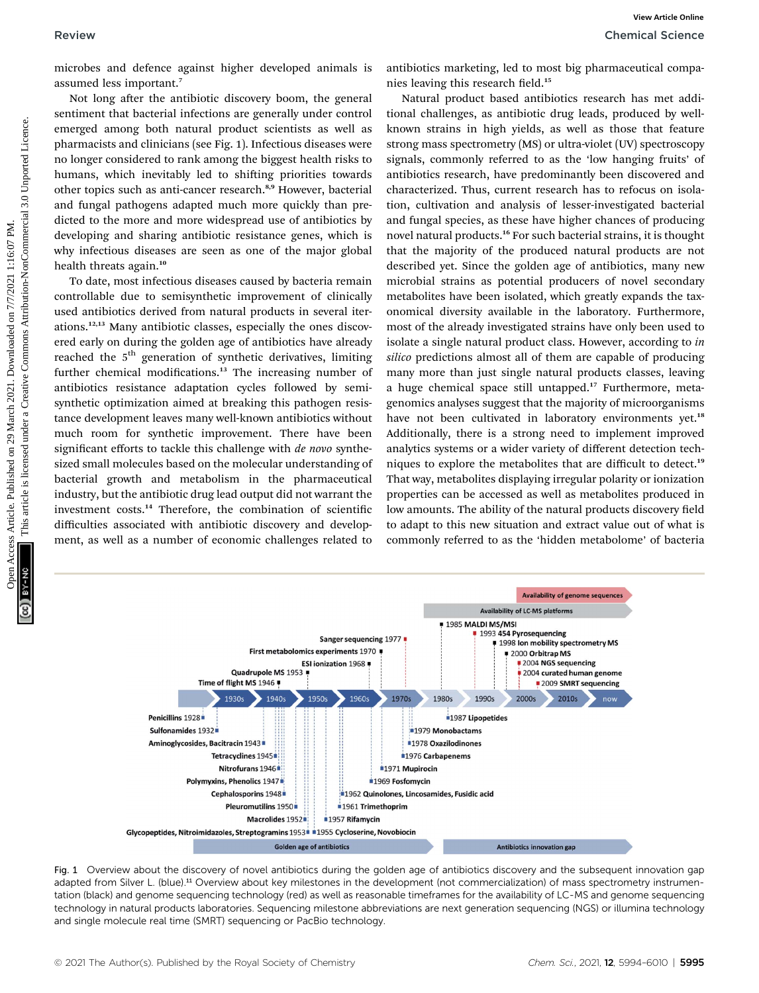microbes and defence against higher developed animals is assumed less important.<sup>7</sup>

Not long after the antibiotic discovery boom, the general sentiment that bacterial infections are generally under control emerged among both natural product scientists as well as pharmacists and clinicians (see Fig. 1). Infectious diseases were no longer considered to rank among the biggest health risks to humans, which inevitably led to shifting priorities towards other topics such as anti-cancer research.8,9 However, bacterial and fungal pathogens adapted much more quickly than predicted to the more and more widespread use of antibiotics by developing and sharing antibiotic resistance genes, which is why infectious diseases are seen as one of the major global health threats again.<sup>10</sup>

To date, most infectious diseases caused by bacteria remain controllable due to semisynthetic improvement of clinically used antibiotics derived from natural products in several iterations.12,13 Many antibiotic classes, especially the ones discovered early on during the golden age of antibiotics have already reached the  $5<sup>th</sup>$  generation of synthetic derivatives, limiting further chemical modifications.<sup>13</sup> The increasing number of antibiotics resistance adaptation cycles followed by semisynthetic optimization aimed at breaking this pathogen resistance development leaves many well-known antibiotics without much room for synthetic improvement. There have been significant efforts to tackle this challenge with de novo synthesized small molecules based on the molecular understanding of bacterial growth and metabolism in the pharmaceutical industry, but the antibiotic drug lead output did not warrant the investment costs.<sup>14</sup> Therefore, the combination of scientific difficulties associated with antibiotic discovery and development, as well as a number of economic challenges related to

antibiotics marketing, led to most big pharmaceutical companies leaving this research field.<sup>15</sup>

Natural product based antibiotics research has met additional challenges, as antibiotic drug leads, produced by wellknown strains in high yields, as well as those that feature strong mass spectrometry (MS) or ultra-violet (UV) spectroscopy signals, commonly referred to as the 'low hanging fruits' of antibiotics research, have predominantly been discovered and characterized. Thus, current research has to refocus on isolation, cultivation and analysis of lesser-investigated bacterial and fungal species, as these have higher chances of producing novel natural products.<sup>16</sup> For such bacterial strains, it is thought that the majority of the produced natural products are not described yet. Since the golden age of antibiotics, many new microbial strains as potential producers of novel secondary metabolites have been isolated, which greatly expands the taxonomical diversity available in the laboratory. Furthermore, most of the already investigated strains have only been used to isolate a single natural product class. However, according to in silico predictions almost all of them are capable of producing many more than just single natural products classes, leaving a huge chemical space still untapped.<sup>17</sup> Furthermore, metagenomics analyses suggest that the majority of microorganisms have not been cultivated in laboratory environments yet.<sup>18</sup> Additionally, there is a strong need to implement improved analytics systems or a wider variety of different detection techniques to explore the metabolites that are difficult to detect.<sup>19</sup> That way, metabolites displaying irregular polarity or ionization properties can be accessed as well as metabolites produced in low amounts. The ability of the natural products discovery field to adapt to this new situation and extract value out of what is commonly referred to as the 'hidden metabolome' of bacteria Review Common and defence agains lighter developed animals is antibiatics marketing feat common and assume and assume the common and assume the common common and a state is common common and a march 2021. Some the common c



Fig. 1 Overview about the discovery of novel antibiotics during the golden age of antibiotics discovery and the subsequent innovation gap adapted from Silver L. (blue).<sup>11</sup> Overview about key milestones in the development (not commercialization) of mass spectrometry instrumentation (black) and genome sequencing technology (red) as well as reasonable timeframes for the availability of LC-MS and genome sequencing technology in natural products laboratories. Sequencing milestone abbreviations are next generation sequencing (NGS) or illumina technology and single molecule real time (SMRT) sequencing or PacBio technology.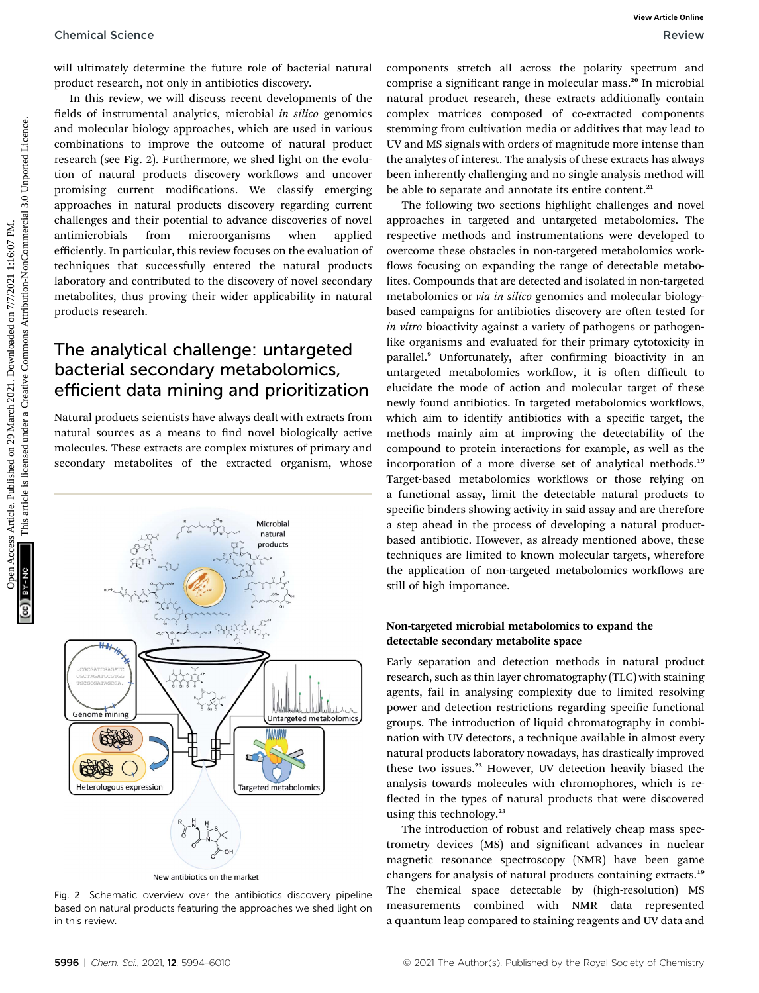will ultimately determine the future role of bacterial natural product research, not only in antibiotics discovery.

In this review, we will discuss recent developments of the fields of instrumental analytics, microbial in silico genomics and molecular biology approaches, which are used in various combinations to improve the outcome of natural product research (see Fig. 2). Furthermore, we shed light on the evolution of natural products discovery workflows and uncover promising current modifications. We classify emerging approaches in natural products discovery regarding current challenges and their potential to advance discoveries of novel antimicrobials from microorganisms when applied efficiently. In particular, this review focuses on the evaluation of techniques that successfully entered the natural products laboratory and contributed to the discovery of novel secondary metabolites, thus proving their wider applicability in natural products research.

## The analytical challenge: untargeted bacterial secondary metabolomics, efficient data mining and prioritization

Natural products scientists have always dealt with extracts from natural sources as a means to find novel biologically active molecules. These extracts are complex mixtures of primary and secondary metabolites of the extracted organism, whose



Fig. 2 Schematic overview over the antibiotics discovery pipeline based on natural products featuring the approaches we shed light on in this review.

components stretch all across the polarity spectrum and comprise a significant range in molecular mass.<sup>20</sup> In microbial natural product research, these extracts additionally contain complex matrices composed of co-extracted components stemming from cultivation media or additives that may lead to UV and MS signals with orders of magnitude more intense than the analytes of interest. The analysis of these extracts has always been inherently challenging and no single analysis method will be able to separate and annotate its entire content.<sup>21</sup>

The following two sections highlight challenges and novel approaches in targeted and untargeted metabolomics. The respective methods and instrumentations were developed to overcome these obstacles in non-targeted metabolomics work flows focusing on expanding the range of detectable metabolites. Compounds that are detected and isolated in non-targeted metabolomics or via in silico genomics and molecular biologybased campaigns for antibiotics discovery are often tested for in vitro bioactivity against a variety of pathogens or pathogenlike organisms and evaluated for their primary cytotoxicity in parallel.<sup>9</sup> Unfortunately, after confirming bioactivity in an untargeted metabolomics workflow, it is often difficult to elucidate the mode of action and molecular target of these newly found antibiotics. In targeted metabolomics workflows, which aim to identify antibiotics with a specific target, the methods mainly aim at improving the detectability of the compound to protein interactions for example, as well as the incorporation of a more diverse set of analytical methods.<sup>19</sup> Target-based metabolomics workflows or those relying on a functional assay, limit the detectable natural products to specific binders showing activity in said assay and are therefore a step ahead in the process of developing a natural productbased antibiotic. However, as already mentioned above, these techniques are limited to known molecular targets, wherefore the application of non-targeted metabolomics workflows are still of high importance. Chemical Science<br>
Service Article is the computer of the computer of the computer of the computer of the computer of the computer of the computer of the computer of the computer of the computer of the computer of the comp

### Non-targeted microbial metabolomics to expand the detectable secondary metabolite space

Early separation and detection methods in natural product research, such as thin layer chromatography (TLC) with staining agents, fail in analysing complexity due to limited resolving power and detection restrictions regarding specific functional groups. The introduction of liquid chromatography in combination with UV detectors, a technique available in almost every natural products laboratory nowadays, has drastically improved these two issues.<sup>22</sup> However, UV detection heavily biased the analysis towards molecules with chromophores, which is re flected in the types of natural products that were discovered using this technology.<sup>23</sup>

The introduction of robust and relatively cheap mass spectrometry devices (MS) and signicant advances in nuclear magnetic resonance spectroscopy (NMR) have been game changers for analysis of natural products containing extracts.<sup>19</sup> The chemical space detectable by (high-resolution) MS measurements combined with NMR data represented a quantum leap compared to staining reagents and UV data and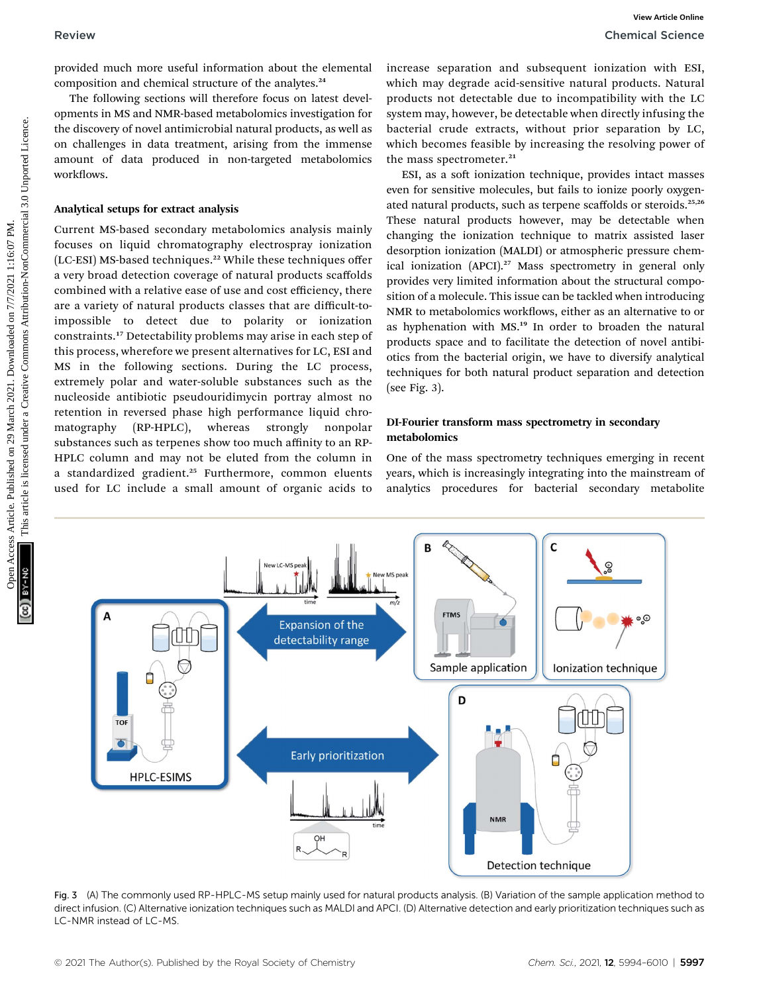provided much more useful information about the elemental composition and chemical structure of the analytes.<sup>24</sup>

The following sections will therefore focus on latest developments in MS and NMR-based metabolomics investigation for the discovery of novel antimicrobial natural products, as well as on challenges in data treatment, arising from the immense amount of data produced in non-targeted metabolomics workflows.

#### Analytical setups for extract analysis

Current MS-based secondary metabolomics analysis mainly focuses on liquid chromatography electrospray ionization (LC-ESI) MS-based techniques.<sup>22</sup> While these techniques offer a very broad detection coverage of natural products scaffolds combined with a relative ease of use and cost efficiency, there are a variety of natural products classes that are difficult-toimpossible to detect due to polarity or ionization constraints.<sup>17</sup> Detectability problems may arise in each step of this process, wherefore we present alternatives for LC, ESI and MS in the following sections. During the LC process, extremely polar and water-soluble substances such as the nucleoside antibiotic pseudouridimycin portray almost no retention in reversed phase high performance liquid chromatography (RP-HPLC), whereas strongly nonpolar substances such as terpenes show too much affinity to an RP-HPLC column and may not be eluted from the column in a standardized gradient.<sup>25</sup> Furthermore, common eluents used for LC include a small amount of organic acids to Review Computed on the note on 2021. The computed on 2021 is computed on 2021 the computed on 2021 2021<br>
comparation on 2020 computed are computed to move the computed on 2021 on 2021 on 2022 commons are provided unit arti

increase separation and subsequent ionization with ESI, which may degrade acid-sensitive natural products. Natural products not detectable due to incompatibility with the LC system may, however, be detectable when directly infusing the bacterial crude extracts, without prior separation by LC, which becomes feasible by increasing the resolving power of the mass spectrometer.<sup>21</sup>

ESI, as a soft ionization technique, provides intact masses even for sensitive molecules, but fails to ionize poorly oxygenated natural products, such as terpene scaffolds or steroids.<sup>25,26</sup> These natural products however, may be detectable when changing the ionization technique to matrix assisted laser desorption ionization (MALDI) or atmospheric pressure chemical ionization (APCI).<sup>27</sup> Mass spectrometry in general only provides very limited information about the structural composition of a molecule. This issue can be tackled when introducing NMR to metabolomics workflows, either as an alternative to or as hyphenation with MS.<sup>19</sup> In order to broaden the natural products space and to facilitate the detection of novel antibiotics from the bacterial origin, we have to diversify analytical techniques for both natural product separation and detection (see Fig. 3).

#### DI-Fourier transform mass spectrometry in secondary metabolomics

One of the mass spectrometry techniques emerging in recent years, which is increasingly integrating into the mainstream of analytics procedures for bacterial secondary metabolite



Fig. 3 (A) The commonly used RP-HPLC-MS setup mainly used for natural products analysis. (B) Variation of the sample application method to direct infusion. (C) Alternative ionization techniques such as MALDI and APCI. (D) Alternative detection and early prioritization techniques such as LC-NMR instead of LC-MS.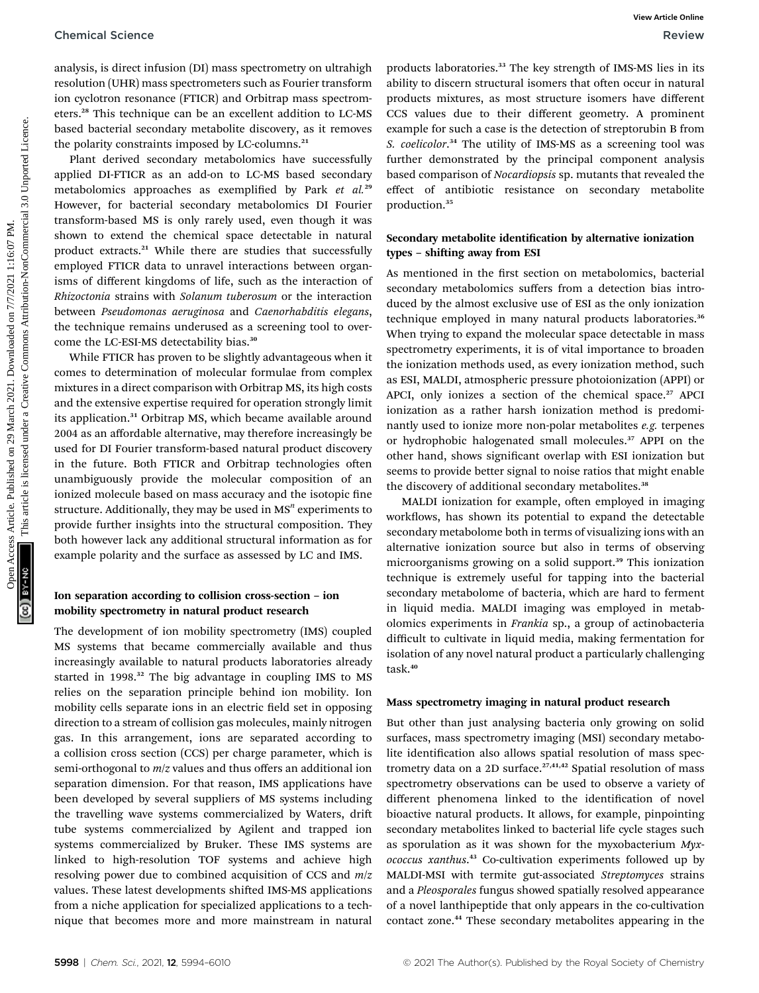#### Chemical Science **Review** Review **Review Review Review Review Review Review**

analysis, is direct infusion (DI) mass spectrometry on ultrahigh resolution (UHR) mass spectrometers such as Fourier transform ion cyclotron resonance (FTICR) and Orbitrap mass spectrometers.<sup>28</sup> This technique can be an excellent addition to LC-MS based bacterial secondary metabolite discovery, as it removes the polarity constraints imposed by LC-columns.<sup>21</sup>

Plant derived secondary metabolomics have successfully applied DI-FTICR as an add-on to LC-MS based secondary metabolomics approaches as exemplified by Park  $et$   $al.^{29}$ However, for bacterial secondary metabolomics DI Fourier transform-based MS is only rarely used, even though it was shown to extend the chemical space detectable in natural product extracts.<sup>21</sup> While there are studies that successfully employed FTICR data to unravel interactions between organisms of different kingdoms of life, such as the interaction of Rhizoctonia strains with Solanum tuberosum or the interaction between Pseudomonas aeruginosa and Caenorhabditis elegans, the technique remains underused as a screening tool to overcome the LC-ESI-MS detectability bias.<sup>30</sup>

While FTICR has proven to be slightly advantageous when it comes to determination of molecular formulae from complex mixtures in a direct comparison with Orbitrap MS, its high costs and the extensive expertise required for operation strongly limit its application.<sup>31</sup> Orbitrap MS, which became available around 2004 as an affordable alternative, may therefore increasingly be used for DI Fourier transform-based natural product discovery in the future. Both FTICR and Orbitrap technologies often unambiguously provide the molecular composition of an ionized molecule based on mass accuracy and the isotopic fine structure. Additionally, they may be used in  $MS<sup>n</sup>$  experiments to provide further insights into the structural composition. They both however lack any additional structural information as for example polarity and the surface as assessed by LC and IMS.

#### Ion separation according to collision cross-section – ion mobility spectrometry in natural product research

The development of ion mobility spectrometry (IMS) coupled MS systems that became commercially available and thus increasingly available to natural products laboratories already started in 1998.<sup>32</sup> The big advantage in coupling IMS to MS relies on the separation principle behind ion mobility. Ion mobility cells separate ions in an electric field set in opposing direction to a stream of collision gas molecules, mainly nitrogen gas. In this arrangement, ions are separated according to a collision cross section (CCS) per charge parameter, which is semi-orthogonal to  $m/z$  values and thus offers an additional ion separation dimension. For that reason, IMS applications have been developed by several suppliers of MS systems including the travelling wave systems commercialized by Waters, dri tube systems commercialized by Agilent and trapped ion systems commercialized by Bruker. These IMS systems are linked to high-resolution TOF systems and achieve high resolving power due to combined acquisition of CCS and m/z values. These latest developments shifted IMS-MS applications from a niche application for specialized applications to a technique that becomes more and more mainstream in natural

products laboratories.<sup>33</sup> The key strength of IMS-MS lies in its ability to discern structural isomers that often occur in natural products mixtures, as most structure isomers have different CCS values due to their different geometry. A prominent example for such a case is the detection of streptorubin B from S. coelicolor.<sup>34</sup> The utility of IMS-MS as a screening tool was further demonstrated by the principal component analysis based comparison of Nocardiopsis sp. mutants that revealed the effect of antibiotic resistance on secondary metabolite production.<sup>35</sup>

#### Secondary metabolite identification by alternative ionization types - shifting away from ESI

As mentioned in the first section on metabolomics, bacterial secondary metabolomics suffers from a detection bias introduced by the almost exclusive use of ESI as the only ionization technique employed in many natural products laboratories.<sup>36</sup> When trying to expand the molecular space detectable in mass spectrometry experiments, it is of vital importance to broaden the ionization methods used, as every ionization method, such as ESI, MALDI, atmospheric pressure photoionization (APPI) or APCI, only ionizes a section of the chemical space.<sup>27</sup> APCI ionization as a rather harsh ionization method is predominantly used to ionize more non-polar metabolites e.g. terpenes or hydrophobic halogenated small molecules.<sup>37</sup> APPI on the other hand, shows signicant overlap with ESI ionization but seems to provide better signal to noise ratios that might enable the discovery of additional secondary metabolites.<sup>38</sup> Chemical Science<br>
Service Articles. Article. Published on 2021. The conference area of the policies are the conference are the conference are the conference are the conference are the conference are the conference are the

MALDI ionization for example, often employed in imaging workflows, has shown its potential to expand the detectable secondary metabolome both in terms of visualizing ions with an alternative ionization source but also in terms of observing microorganisms growing on a solid support.<sup>39</sup> This ionization technique is extremely useful for tapping into the bacterial secondary metabolome of bacteria, which are hard to ferment in liquid media. MALDI imaging was employed in metabolomics experiments in Frankia sp., a group of actinobacteria difficult to cultivate in liquid media, making fermentation for isolation of any novel natural product a particularly challenging task.<sup>40</sup>

#### Mass spectrometry imaging in natural product research

But other than just analysing bacteria only growing on solid surfaces, mass spectrometry imaging (MSI) secondary metabolite identification also allows spatial resolution of mass spectrometry data on a 2D surface.<sup>27,41,42</sup> Spatial resolution of mass spectrometry observations can be used to observe a variety of different phenomena linked to the identification of novel bioactive natural products. It allows, for example, pinpointing secondary metabolites linked to bacterial life cycle stages such as sporulation as it was shown for the myxobacterium  $Myx$ ococcus xanthus.<sup>43</sup> Co-cultivation experiments followed up by MALDI-MSI with termite gut-associated Streptomyces strains and a Pleosporales fungus showed spatially resolved appearance of a novel lanthipeptide that only appears in the co-cultivation contact zone.<sup>44</sup> These secondary metabolites appearing in the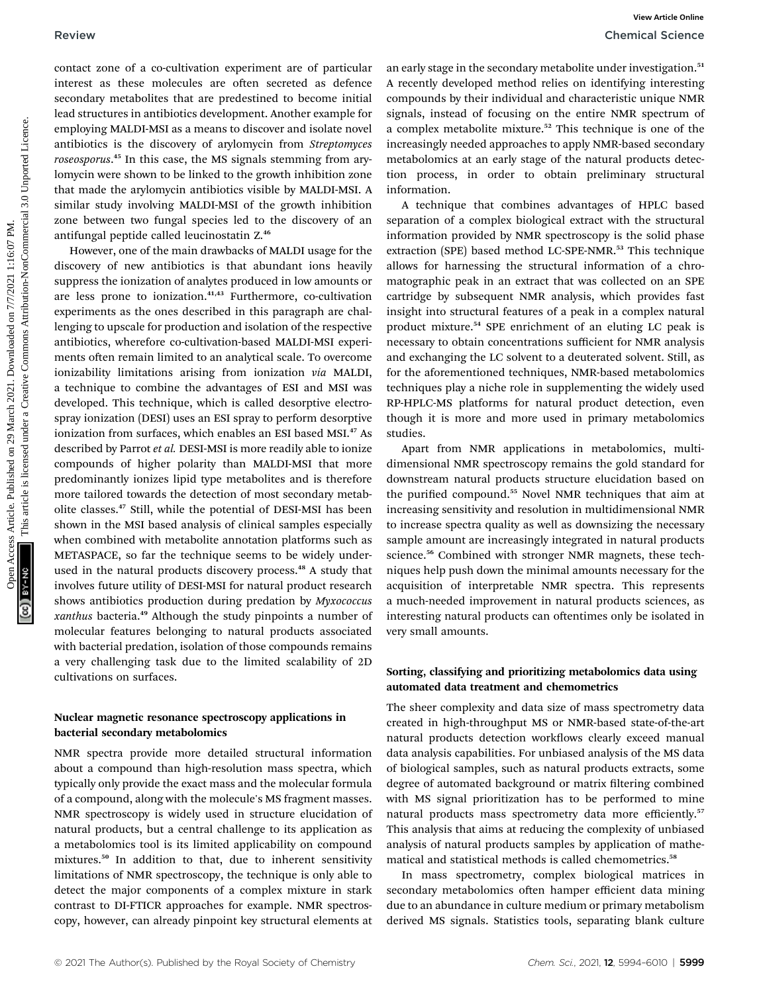contact zone of a co-cultivation experiment are of particular interest as these molecules are often secreted as defence secondary metabolites that are predestined to become initial lead structures in antibiotics development. Another example for employing MALDI-MSI as a means to discover and isolate novel antibiotics is the discovery of arylomycin from Streptomyces roseosporus.<sup>45</sup> In this case, the MS signals stemming from arylomycin were shown to be linked to the growth inhibition zone that made the arylomycin antibiotics visible by MALDI-MSI. A similar study involving MALDI-MSI of the growth inhibition zone between two fungal species led to the discovery of an antifungal peptide called leucinostatin Z.<sup>46</sup>

However, one of the main drawbacks of MALDI usage for the discovery of new antibiotics is that abundant ions heavily suppress the ionization of analytes produced in low amounts or are less prone to ionization.<sup>41,43</sup> Furthermore, co-cultivation experiments as the ones described in this paragraph are challenging to upscale for production and isolation of the respective antibiotics, wherefore co-cultivation-based MALDI-MSI experiments often remain limited to an analytical scale. To overcome ionizability limitations arising from ionization via MALDI, a technique to combine the advantages of ESI and MSI was developed. This technique, which is called desorptive electrospray ionization (DESI) uses an ESI spray to perform desorptive ionization from surfaces, which enables an ESI based MSI.<sup>47</sup> As described by Parrot et al. DESI-MSI is more readily able to ionize compounds of higher polarity than MALDI-MSI that more predominantly ionizes lipid type metabolites and is therefore more tailored towards the detection of most secondary metabolite classes.<sup>47</sup> Still, while the potential of DESI-MSI has been shown in the MSI based analysis of clinical samples especially when combined with metabolite annotation platforms such as METASPACE, so far the technique seems to be widely underused in the natural products discovery process.<sup>48</sup> A study that involves future utility of DESI-MSI for natural product research shows antibiotics production during predation by Myxococcus xanthus bacteria.<sup>49</sup> Although the study pinpoints a number of molecular features belonging to natural products associated with bacterial predation, isolation of those compounds remains a very challenging task due to the limited scalability of 2D cultivations on surfaces. Review Commercial constraines are considered on 2021. The commercial constraines are commercial to the commercial constraines are commercial to the commutation of the commutation of the commutation of the commutation of th

#### Nuclear magnetic resonance spectroscopy applications in bacterial secondary metabolomics

NMR spectra provide more detailed structural information about a compound than high-resolution mass spectra, which typically only provide the exact mass and the molecular formula of a compound, along with the molecule's MS fragment masses. NMR spectroscopy is widely used in structure elucidation of natural products, but a central challenge to its application as a metabolomics tool is its limited applicability on compound mixtures.<sup>50</sup> In addition to that, due to inherent sensitivity limitations of NMR spectroscopy, the technique is only able to detect the major components of a complex mixture in stark contrast to DI-FTICR approaches for example. NMR spectroscopy, however, can already pinpoint key structural elements at an early stage in the secondary metabolite under investigation.<sup>51</sup> A recently developed method relies on identifying interesting compounds by their individual and characteristic unique NMR signals, instead of focusing on the entire NMR spectrum of a complex metabolite mixture.<sup>52</sup> This technique is one of the increasingly needed approaches to apply NMR-based secondary metabolomics at an early stage of the natural products detection process, in order to obtain preliminary structural information.

A technique that combines advantages of HPLC based separation of a complex biological extract with the structural information provided by NMR spectroscopy is the solid phase extraction (SPE) based method LC-SPE-NMR.<sup>53</sup> This technique allows for harnessing the structural information of a chromatographic peak in an extract that was collected on an SPE cartridge by subsequent NMR analysis, which provides fast insight into structural features of a peak in a complex natural product mixture.<sup>54</sup> SPE enrichment of an eluting LC peak is necessary to obtain concentrations sufficient for NMR analysis and exchanging the LC solvent to a deuterated solvent. Still, as for the aforementioned techniques, NMR-based metabolomics techniques play a niche role in supplementing the widely used RP-HPLC-MS platforms for natural product detection, even though it is more and more used in primary metabolomics studies.

Apart from NMR applications in metabolomics, multidimensional NMR spectroscopy remains the gold standard for downstream natural products structure elucidation based on the purified compound.<sup>55</sup> Novel NMR techniques that aim at increasing sensitivity and resolution in multidimensional NMR to increase spectra quality as well as downsizing the necessary sample amount are increasingly integrated in natural products science.<sup>56</sup> Combined with stronger NMR magnets, these techniques help push down the minimal amounts necessary for the acquisition of interpretable NMR spectra. This represents a much-needed improvement in natural products sciences, as interesting natural products can oftentimes only be isolated in very small amounts.

#### Sorting, classifying and prioritizing metabolomics data using automated data treatment and chemometrics

The sheer complexity and data size of mass spectrometry data created in high-throughput MS or NMR-based state-of-the-art natural products detection workflows clearly exceed manual data analysis capabilities. For unbiased analysis of the MS data of biological samples, such as natural products extracts, some degree of automated background or matrix filtering combined with MS signal prioritization has to be performed to mine natural products mass spectrometry data more efficiently.<sup>57</sup> This analysis that aims at reducing the complexity of unbiased analysis of natural products samples by application of mathematical and statistical methods is called chemometrics.<sup>58</sup>

In mass spectrometry, complex biological matrices in secondary metabolomics often hamper efficient data mining due to an abundance in culture medium or primary metabolism derived MS signals. Statistics tools, separating blank culture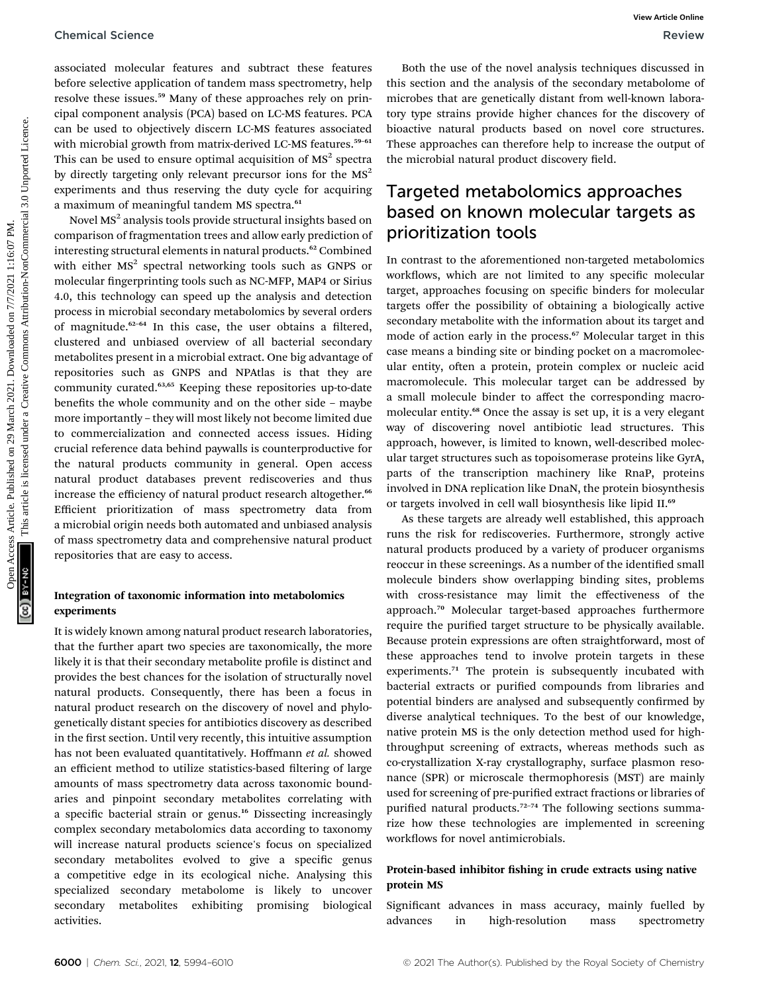#### Chemical Science Review and the contract of the contract of the contract of the contract of the contract of the contract of the contract of the contract of the contract of the contract of the contract of the contract of th

associated molecular features and subtract these features before selective application of tandem mass spectrometry, help resolve these issues.<sup>59</sup> Many of these approaches rely on principal component analysis (PCA) based on LC-MS features. PCA can be used to objectively discern LC-MS features associated with microbial growth from matrix-derived LC-MS features.<sup>59-61</sup> This can be used to ensure optimal acquisition of  $MS<sup>2</sup>$  spectra by directly targeting only relevant precursor ions for the  $MS<sup>2</sup>$ experiments and thus reserving the duty cycle for acquiring a maximum of meaningful tandem MS spectra.<sup>61</sup>

Novel  $MS<sup>2</sup>$  analysis tools provide structural insights based on comparison of fragmentation trees and allow early prediction of interesting structural elements in natural products.<sup>62</sup> Combined with either MS<sup>2</sup> spectral networking tools such as GNPS or molecular fingerprinting tools such as NC-MFP, MAP4 or Sirius 4.0, this technology can speed up the analysis and detection process in microbial secondary metabolomics by several orders of magnitude. $62-64$  In this case, the user obtains a filtered, clustered and unbiased overview of all bacterial secondary metabolites present in a microbial extract. One big advantage of repositories such as GNPS and NPAtlas is that they are community curated.63,65 Keeping these repositories up-to-date benefits the whole community and on the other side – maybe more importantly – they will most likely not become limited due to commercialization and connected access issues. Hiding crucial reference data behind paywalls is counterproductive for the natural products community in general. Open access natural product databases prevent rediscoveries and thus increase the efficiency of natural product research altogether.<sup>66</sup> Efficient prioritization of mass spectrometry data from a microbial origin needs both automated and unbiased analysis of mass spectrometry data and comprehensive natural product repositories that are easy to access. Chemical Science<br>
Secret Receives Article on 2021. The constrained on 2021. The constrained on 2021. The constrained on 2021. The constrained on 2021. The constrained on 2021. Common access Article is license are also that

### Integration of taxonomic information into metabolomics experiments

It is widely known among natural product research laboratories, that the further apart two species are taxonomically, the more likely it is that their secondary metabolite profile is distinct and provides the best chances for the isolation of structurally novel natural products. Consequently, there has been a focus in natural product research on the discovery of novel and phylogenetically distant species for antibiotics discovery as described in the first section. Until very recently, this intuitive assumption has not been evaluated quantitatively. Hoffmann et al. showed an efficient method to utilize statistics-based filtering of large amounts of mass spectrometry data across taxonomic boundaries and pinpoint secondary metabolites correlating with a specific bacterial strain or genus.<sup>16</sup> Dissecting increasingly complex secondary metabolomics data according to taxonomy will increase natural products science's focus on specialized secondary metabolites evolved to give a specific genus a competitive edge in its ecological niche. Analysing this specialized secondary metabolome is likely to uncover secondary metabolites exhibiting promising biological activities.

Both the use of the novel analysis techniques discussed in this section and the analysis of the secondary metabolome of microbes that are genetically distant from well-known laboratory type strains provide higher chances for the discovery of bioactive natural products based on novel core structures. These approaches can therefore help to increase the output of the microbial natural product discovery field.

## Targeted metabolomics approaches based on known molecular targets as prioritization tools

In contrast to the aforementioned non-targeted metabolomics workflows, which are not limited to any specific molecular target, approaches focusing on specific binders for molecular targets offer the possibility of obtaining a biologically active secondary metabolite with the information about its target and mode of action early in the process.<sup>67</sup> Molecular target in this case means a binding site or binding pocket on a macromolecular entity, often a protein, protein complex or nucleic acid macromolecule. This molecular target can be addressed by a small molecule binder to affect the corresponding macromolecular entity.<sup>68</sup> Once the assay is set up, it is a very elegant way of discovering novel antibiotic lead structures. This approach, however, is limited to known, well-described molecular target structures such as topoisomerase proteins like GyrA, parts of the transcription machinery like RnaP, proteins involved in DNA replication like DnaN, the protein biosynthesis or targets involved in cell wall biosynthesis like lipid II.<sup>69</sup>

As these targets are already well established, this approach runs the risk for rediscoveries. Furthermore, strongly active natural products produced by a variety of producer organisms reoccur in these screenings. As a number of the identified small molecule binders show overlapping binding sites, problems with cross-resistance may limit the effectiveness of the approach.<sup>70</sup> Molecular target-based approaches furthermore require the purified target structure to be physically available. Because protein expressions are often straightforward, most of these approaches tend to involve protein targets in these experiments.<sup>71</sup> The protein is subsequently incubated with bacterial extracts or purified compounds from libraries and potential binders are analysed and subsequently confirmed by diverse analytical techniques. To the best of our knowledge, native protein MS is the only detection method used for highthroughput screening of extracts, whereas methods such as co-crystallization X-ray crystallography, surface plasmon resonance (SPR) or microscale thermophoresis (MST) are mainly used for screening of pre-purified extract fractions or libraries of purified natural products.<sup>72-74</sup> The following sections summarize how these technologies are implemented in screening workflows for novel antimicrobials.

#### Protein-based inhibitor fishing in crude extracts using native protein MS

Significant advances in mass accuracy, mainly fuelled by advances in high-resolution mass spectrometry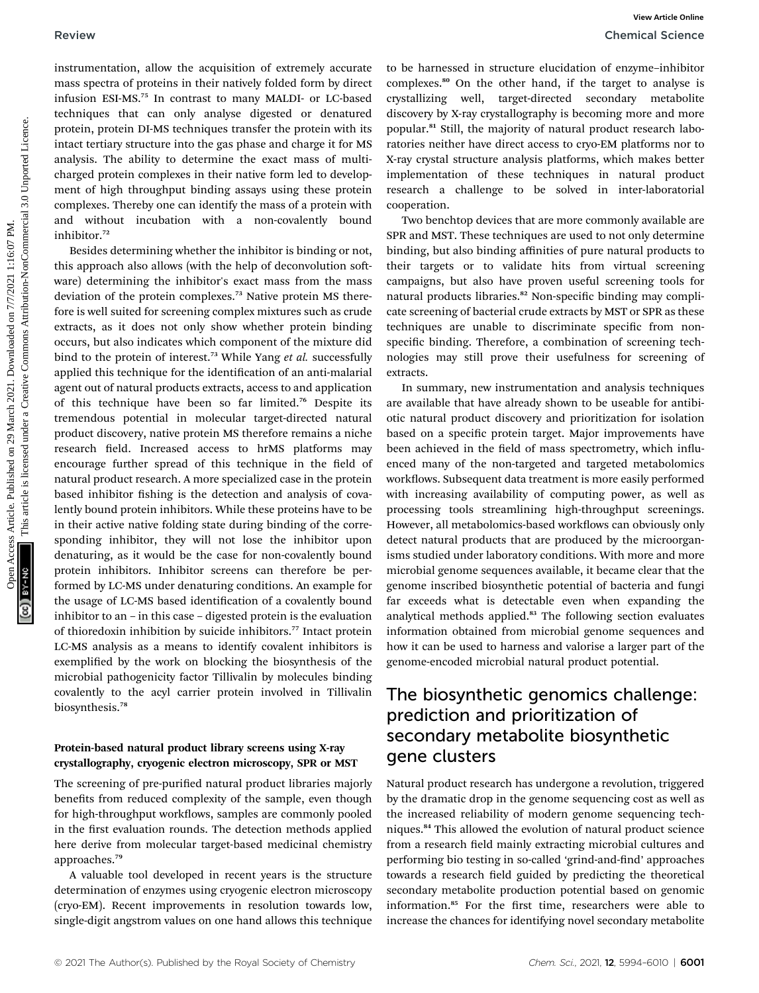instrumentation, allow the acquisition of extremely accurate mass spectra of proteins in their natively folded form by direct infusion ESI-MS.<sup>75</sup> In contrast to many MALDI- or LC-based techniques that can only analyse digested or denatured protein, protein DI-MS techniques transfer the protein with its intact tertiary structure into the gas phase and charge it for MS analysis. The ability to determine the exact mass of multicharged protein complexes in their native form led to development of high throughput binding assays using these protein complexes. Thereby one can identify the mass of a protein with and without incubation with a non-covalently bound inhibitor.<sup>72</sup>

Besides determining whether the inhibitor is binding or not, this approach also allows (with the help of deconvolution software) determining the inhibitor's exact mass from the mass deviation of the protein complexes.<sup>73</sup> Native protein MS therefore is well suited for screening complex mixtures such as crude extracts, as it does not only show whether protein binding occurs, but also indicates which component of the mixture did bind to the protein of interest.<sup>73</sup> While Yang et al. successfully applied this technique for the identification of an anti-malarial agent out of natural products extracts, access to and application of this technique have been so far limited.<sup>76</sup> Despite its tremendous potential in molecular target-directed natural product discovery, native protein MS therefore remains a niche research field. Increased access to hrMS platforms may encourage further spread of this technique in the field of natural product research. A more specialized case in the protein based inhibitor fishing is the detection and analysis of covalently bound protein inhibitors. While these proteins have to be in their active native folding state during binding of the corresponding inhibitor, they will not lose the inhibitor upon denaturing, as it would be the case for non-covalently bound protein inhibitors. Inhibitor screens can therefore be performed by LC-MS under denaturing conditions. An example for the usage of LC-MS based identification of a covalently bound inhibitor to an – in this case – digested protein is the evaluation of thioredoxin inhibition by suicide inhibitors.<sup>77</sup> Intact protein LC-MS analysis as a means to identify covalent inhibitors is exemplified by the work on blocking the biosynthesis of the microbial pathogenicity factor Tillivalin by molecules binding covalently to the acyl carrier protein involved in Tillivalin biosynthesis.<sup>78</sup> Review Commutation, also the negative of the complex means of the complex are complexed on 2021. The complex are the complex are the complex are the complex are the complex are the complex are the complex are the complex a

### Protein-based natural product library screens using X-ray crystallography, cryogenic electron microscopy, SPR or MST

The screening of pre-purified natural product libraries majorly benefits from reduced complexity of the sample, even though for high-throughput workflows, samples are commonly pooled in the first evaluation rounds. The detection methods applied here derive from molecular target-based medicinal chemistry approaches.<sup>79</sup>

A valuable tool developed in recent years is the structure determination of enzymes using cryogenic electron microscopy (cryo-EM). Recent improvements in resolution towards low, single-digit angstrom values on one hand allows this technique to be harnessed in structure elucidation of enzyme–inhibitor complexes.<sup>80</sup> On the other hand, if the target to analyse is crystallizing well, target-directed secondary metabolite discovery by X-ray crystallography is becoming more and more popular.<sup>81</sup> Still, the majority of natural product research laboratories neither have direct access to cryo-EM platforms nor to X-ray crystal structure analysis platforms, which makes better implementation of these techniques in natural product research a challenge to be solved in inter-laboratorial cooperation.

Two benchtop devices that are more commonly available are SPR and MST. These techniques are used to not only determine binding, but also binding affinities of pure natural products to their targets or to validate hits from virtual screening campaigns, but also have proven useful screening tools for natural products libraries.<sup>82</sup> Non-specific binding may complicate screening of bacterial crude extracts by MST or SPR as these techniques are unable to discriminate specific from nonspecific binding. Therefore, a combination of screening technologies may still prove their usefulness for screening of extracts.

In summary, new instrumentation and analysis techniques are available that have already shown to be useable for antibiotic natural product discovery and prioritization for isolation based on a specific protein target. Major improvements have been achieved in the field of mass spectrometry, which influenced many of the non-targeted and targeted metabolomics workflows. Subsequent data treatment is more easily performed with increasing availability of computing power, as well as processing tools streamlining high-throughput screenings. However, all metabolomics-based workflows can obviously only detect natural products that are produced by the microorganisms studied under laboratory conditions. With more and more microbial genome sequences available, it became clear that the genome inscribed biosynthetic potential of bacteria and fungi far exceeds what is detectable even when expanding the analytical methods applied.<sup>83</sup> The following section evaluates information obtained from microbial genome sequences and how it can be used to harness and valorise a larger part of the genome-encoded microbial natural product potential.

## The biosynthetic genomics challenge: prediction and prioritization of secondary metabolite biosynthetic gene clusters

Natural product research has undergone a revolution, triggered by the dramatic drop in the genome sequencing cost as well as the increased reliability of modern genome sequencing techniques.<sup>84</sup> This allowed the evolution of natural product science from a research field mainly extracting microbial cultures and performing bio testing in so-called 'grind-and-find' approaches towards a research field guided by predicting the theoretical secondary metabolite production potential based on genomic information.<sup>85</sup> For the first time, researchers were able to increase the chances for identifying novel secondary metabolite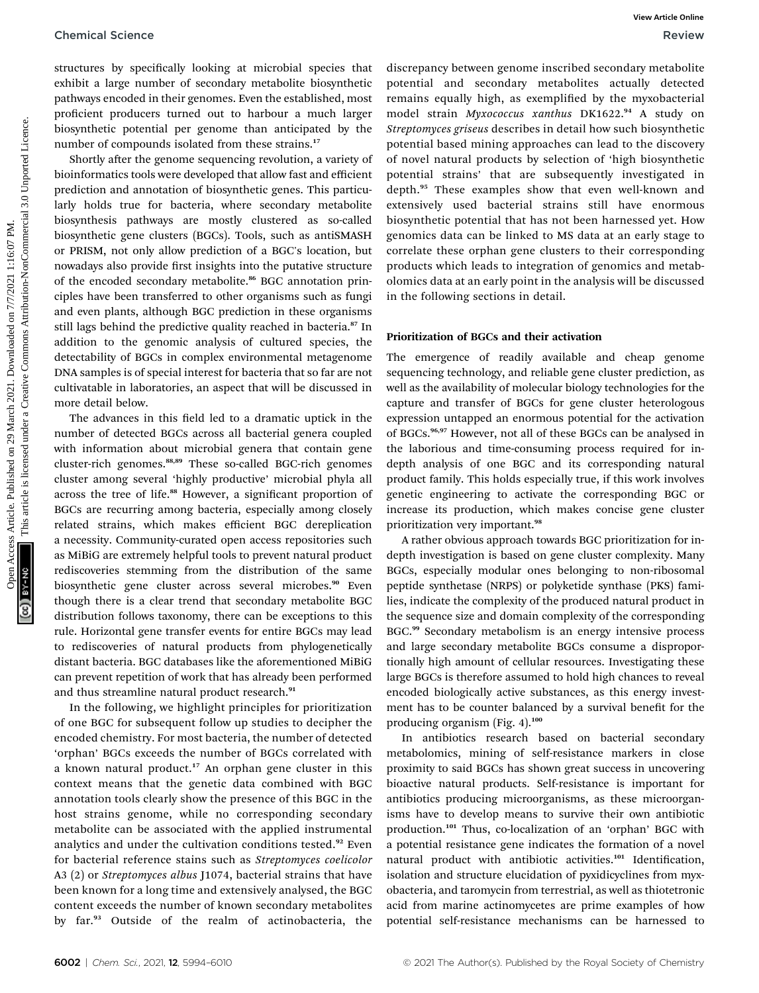#### Chemical Science **Review Accord Chemical Science** Review **Review**

structures by specifically looking at microbial species that exhibit a large number of secondary metabolite biosynthetic pathways encoded in their genomes. Even the established, most proficient producers turned out to harbour a much larger biosynthetic potential per genome than anticipated by the number of compounds isolated from these strains.<sup>17</sup>

Shortly after the genome sequencing revolution, a variety of bioinformatics tools were developed that allow fast and efficient prediction and annotation of biosynthetic genes. This particularly holds true for bacteria, where secondary metabolite biosynthesis pathways are mostly clustered as so-called biosynthetic gene clusters (BGCs). Tools, such as antiSMASH or PRISM, not only allow prediction of a BGC's location, but nowadays also provide first insights into the putative structure of the encoded secondary metabolite.<sup>86</sup> BGC annotation principles have been transferred to other organisms such as fungi and even plants, although BGC prediction in these organisms still lags behind the predictive quality reached in bacteria.<sup>87</sup> In addition to the genomic analysis of cultured species, the detectability of BGCs in complex environmental metagenome DNA samples is of special interest for bacteria that so far are not cultivatable in laboratories, an aspect that will be discussed in more detail below. Chemical Science<br>
Streets, are marked ones are considered to both and the considered on 2021. The considered on 2021. The considered on 2021. This are more than the considered on 2021. The considered on 2021. This are the

The advances in this field led to a dramatic uptick in the number of detected BGCs across all bacterial genera coupled with information about microbial genera that contain gene cluster-rich genomes.88,89 These so-called BGC-rich genomes cluster among several 'highly productive' microbial phyla all across the tree of life.<sup>88</sup> However, a significant proportion of BGCs are recurring among bacteria, especially among closely related strains, which makes efficient BGC dereplication a necessity. Community-curated open access repositories such as MiBiG are extremely helpful tools to prevent natural product rediscoveries stemming from the distribution of the same biosynthetic gene cluster across several microbes.<sup>90</sup> Even though there is a clear trend that secondary metabolite BGC distribution follows taxonomy, there can be exceptions to this rule. Horizontal gene transfer events for entire BGCs may lead to rediscoveries of natural products from phylogenetically distant bacteria. BGC databases like the aforementioned MiBiG can prevent repetition of work that has already been performed and thus streamline natural product research.<sup>91</sup>

In the following, we highlight principles for prioritization of one BGC for subsequent follow up studies to decipher the encoded chemistry. For most bacteria, the number of detected 'orphan' BGCs exceeds the number of BGCs correlated with a known natural product.<sup>17</sup> An orphan gene cluster in this context means that the genetic data combined with BGC annotation tools clearly show the presence of this BGC in the host strains genome, while no corresponding secondary metabolite can be associated with the applied instrumental analytics and under the cultivation conditions tested.<sup>92</sup> Even for bacterial reference stains such as Streptomyces coelicolor A3 (2) or Streptomyces albus J1074, bacterial strains that have been known for a long time and extensively analysed, the BGC content exceeds the number of known secondary metabolites by far.<sup>93</sup> Outside of the realm of actinobacteria, the

discrepancy between genome inscribed secondary metabolite potential and secondary metabolites actually detected remains equally high, as exemplified by the myxobacterial model strain Myxococcus xanthus DK1622.94 A study on Streptomyces griseus describes in detail how such biosynthetic potential based mining approaches can lead to the discovery of novel natural products by selection of 'high biosynthetic potential strains' that are subsequently investigated in depth.<sup>95</sup> These examples show that even well-known and extensively used bacterial strains still have enormous biosynthetic potential that has not been harnessed yet. How genomics data can be linked to MS data at an early stage to correlate these orphan gene clusters to their corresponding products which leads to integration of genomics and metabolomics data at an early point in the analysis will be discussed in the following sections in detail.

#### Prioritization of BGCs and their activation

The emergence of readily available and cheap genome sequencing technology, and reliable gene cluster prediction, as well as the availability of molecular biology technologies for the capture and transfer of BGCs for gene cluster heterologous expression untapped an enormous potential for the activation of BGCs.96,97 However, not all of these BGCs can be analysed in the laborious and time-consuming process required for indepth analysis of one BGC and its corresponding natural product family. This holds especially true, if this work involves genetic engineering to activate the corresponding BGC or increase its production, which makes concise gene cluster prioritization very important.<sup>98</sup>

A rather obvious approach towards BGC prioritization for indepth investigation is based on gene cluster complexity. Many BGCs, especially modular ones belonging to non-ribosomal peptide synthetase (NRPS) or polyketide synthase (PKS) families, indicate the complexity of the produced natural product in the sequence size and domain complexity of the corresponding BGC.<sup>99</sup> Secondary metabolism is an energy intensive process and large secondary metabolite BGCs consume a disproportionally high amount of cellular resources. Investigating these large BGCs is therefore assumed to hold high chances to reveal encoded biologically active substances, as this energy investment has to be counter balanced by a survival benefit for the producing organism (Fig. 4).<sup>100</sup>

In antibiotics research based on bacterial secondary metabolomics, mining of self-resistance markers in close proximity to said BGCs has shown great success in uncovering bioactive natural products. Self-resistance is important for antibiotics producing microorganisms, as these microorganisms have to develop means to survive their own antibiotic production.<sup>101</sup> Thus, co-localization of an 'orphan' BGC with a potential resistance gene indicates the formation of a novel natural product with antibiotic activities.<sup>101</sup> Identification, isolation and structure elucidation of pyxidicyclines from myxobacteria, and taromycin from terrestrial, as well as thiotetronic acid from marine actinomycetes are prime examples of how potential self-resistance mechanisms can be harnessed to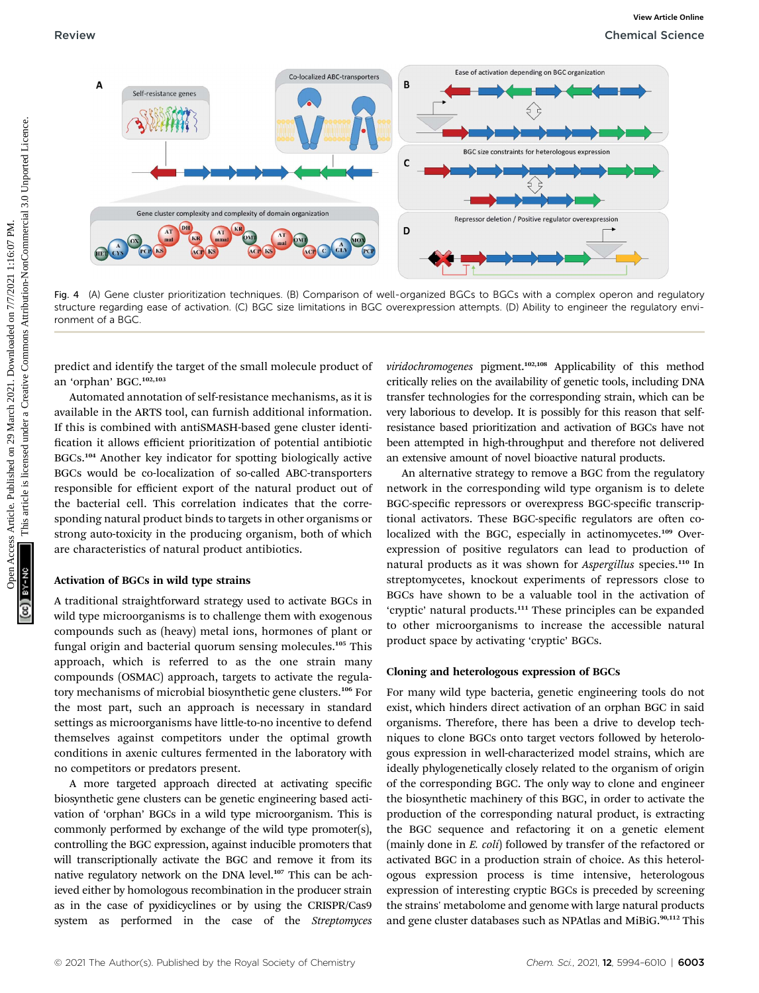

Fig. 4 (A) Gene cluster prioritization techniques. (B) Comparison of well-organized BGCs to BGCs with a complex operon and regulatory structure regarding ease of activation. (C) BGC size limitations in BGC overexpression attempts. (D) Ability to engineer the regulatory environment of a BGC.

predict and identify the target of the small molecule product of an 'orphan' BGC.102,103

Automated annotation of self-resistance mechanisms, as it is available in the ARTS tool, can furnish additional information. If this is combined with antiSMASH-based gene cluster identi fication it allows efficient prioritization of potential antibiotic BGCs.<sup>104</sup> Another key indicator for spotting biologically active BGCs would be co-localization of so-called ABC-transporters responsible for efficient export of the natural product out of the bacterial cell. This correlation indicates that the corresponding natural product binds to targets in other organisms or strong auto-toxicity in the producing organism, both of which are characteristics of natural product antibiotics.

#### Activation of BGCs in wild type strains

A traditional straightforward strategy used to activate BGCs in wild type microorganisms is to challenge them with exogenous compounds such as (heavy) metal ions, hormones of plant or fungal origin and bacterial quorum sensing molecules.<sup>105</sup> This approach, which is referred to as the one strain many compounds (OSMAC) approach, targets to activate the regulatory mechanisms of microbial biosynthetic gene clusters.<sup>106</sup> For the most part, such an approach is necessary in standard settings as microorganisms have little-to-no incentive to defend themselves against competitors under the optimal growth conditions in axenic cultures fermented in the laboratory with no competitors or predators present.

A more targeted approach directed at activating specific biosynthetic gene clusters can be genetic engineering based activation of 'orphan' BGCs in a wild type microorganism. This is commonly performed by exchange of the wild type promoter(s), controlling the BGC expression, against inducible promoters that will transcriptionally activate the BGC and remove it from its native regulatory network on the DNA level.<sup>107</sup> This can be achieved either by homologous recombination in the producer strain as in the case of pyxidicyclines or by using the CRISPR/Cas9 system as performed in the case of the Streptomyces viridochromogenes pigment.<sup>102,108</sup> Applicability of this method critically relies on the availability of genetic tools, including DNA transfer technologies for the corresponding strain, which can be very laborious to develop. It is possibly for this reason that selfresistance based prioritization and activation of BGCs have not been attempted in high-throughput and therefore not delivered an extensive amount of novel bioactive natural products.

An alternative strategy to remove a BGC from the regulatory network in the corresponding wild type organism is to delete BGC-specific repressors or overexpress BGC-specific transcriptional activators. These BGC-specific regulators are often colocalized with the BGC, especially in actinomycetes.<sup>109</sup> Overexpression of positive regulators can lead to production of natural products as it was shown for Aspergillus species.<sup>110</sup> In streptomycetes, knockout experiments of repressors close to BGCs have shown to be a valuable tool in the activation of 'cryptic' natural products.<sup>111</sup> These principles can be expanded to other microorganisms to increase the accessible natural product space by activating 'cryptic' BGCs.

#### Cloning and heterologous expression of BGCs

For many wild type bacteria, genetic engineering tools do not exist, which hinders direct activation of an orphan BGC in said organisms. Therefore, there has been a drive to develop techniques to clone BGCs onto target vectors followed by heterologous expression in well-characterized model strains, which are ideally phylogenetically closely related to the organism of origin of the corresponding BGC. The only way to clone and engineer the biosynthetic machinery of this BGC, in order to activate the production of the corresponding natural product, is extracting the BGC sequence and refactoring it on a genetic element (mainly done in E. coli) followed by transfer of the refactored or activated BGC in a production strain of choice. As this heterologous expression process is time intensive, heterologous expression of interesting cryptic BGCs is preceded by screening the strains' metabolome and genome with large natural products and gene cluster databases such as NPAtlas and MiBiG.<sup>90,112</sup> This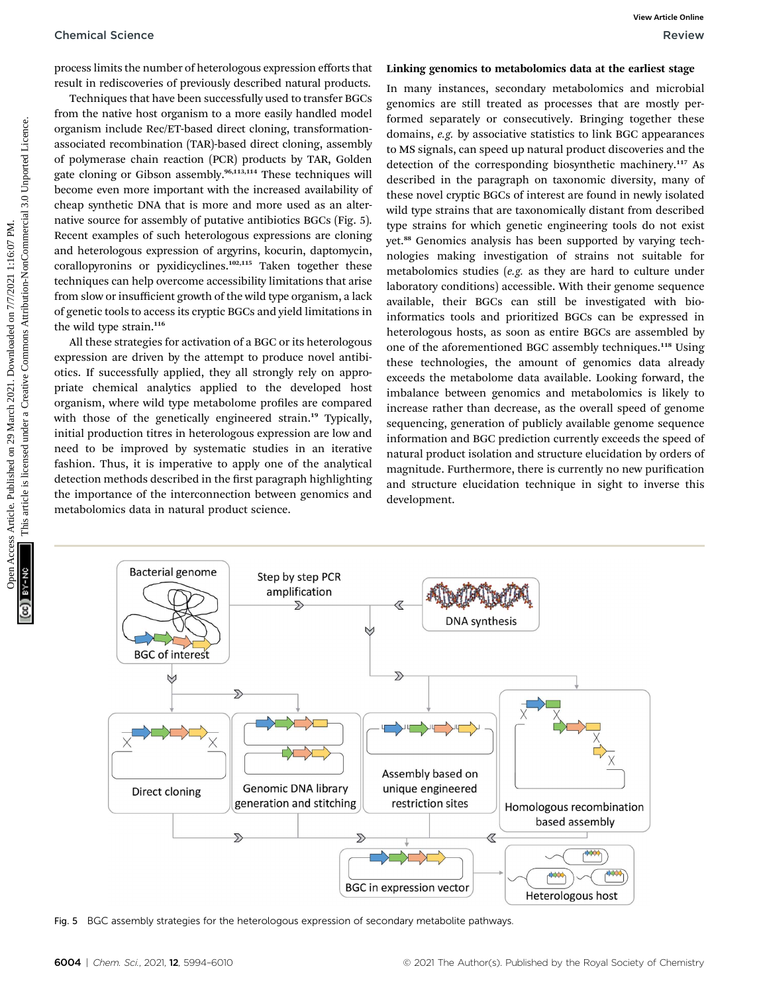process limits the number of heterologous expression efforts that result in rediscoveries of previously described natural products.

Techniques that have been successfully used to transfer BGCs from the native host organism to a more easily handled model organism include Rec/ET-based direct cloning, transformationassociated recombination (TAR)-based direct cloning, assembly of polymerase chain reaction (PCR) products by TAR, Golden gate cloning or Gibson assembly.96,113,114 These techniques will become even more important with the increased availability of cheap synthetic DNA that is more and more used as an alternative source for assembly of putative antibiotics BGCs (Fig. 5). Recent examples of such heterologous expressions are cloning and heterologous expression of argyrins, kocurin, daptomycin, corallopyronins or pyxidicyclines.<sup>102,115</sup> Taken together these techniques can help overcome accessibility limitations that arise from slow or insufficient growth of the wild type organism, a lack of genetic tools to access its cryptic BGCs and yield limitations in the wild type strain.<sup>116</sup>

All these strategies for activation of a BGC or its heterologous expression are driven by the attempt to produce novel antibiotics. If successfully applied, they all strongly rely on appropriate chemical analytics applied to the developed host organism, where wild type metabolome profiles are compared with those of the genetically engineered strain.<sup>19</sup> Typically, initial production titres in heterologous expression are low and need to be improved by systematic studies in an iterative fashion. Thus, it is imperative to apply one of the analytical detection methods described in the first paragraph highlighting the importance of the interconnection between genomics and metabolomics data in natural product science.

#### Linking genomics to metabolomics data at the earliest stage

In many instances, secondary metabolomics and microbial genomics are still treated as processes that are mostly performed separately or consecutively. Bringing together these domains, e.g. by associative statistics to link BGC appearances to MS signals, can speed up natural product discoveries and the detection of the corresponding biosynthetic machinery.<sup>117</sup> As described in the paragraph on taxonomic diversity, many of these novel cryptic BGCs of interest are found in newly isolated wild type strains that are taxonomically distant from described type strains for which genetic engineering tools do not exist yet.<sup>88</sup> Genomics analysis has been supported by varying technologies making investigation of strains not suitable for metabolomics studies (e.g. as they are hard to culture under laboratory conditions) accessible. With their genome sequence available, their BGCs can still be investigated with bioinformatics tools and prioritized BGCs can be expressed in heterologous hosts, as soon as entire BGCs are assembled by one of the aforementioned BGC assembly techniques.<sup>118</sup> Using these technologies, the amount of genomics data already exceeds the metabolome data available. Looking forward, the imbalance between genomics and metabolomics is likely to increase rather than decrease, as the overall speed of genome sequencing, generation of publicly available genome sequence information and BGC prediction currently exceeds the speed of natural product isolation and structure elucidation by orders of magnitude. Furthermore, there is currently no new purification and structure elucidation technique in sight to inverse this development. Chemical Science<br>
Theoretical Research of presentation control and the composition of the common and the common and the common access are the material published on 2011. The common access are the material decomposition of



Fig. 5 BGC assembly strategies for the heterologous expression of secondary metabolite pathways.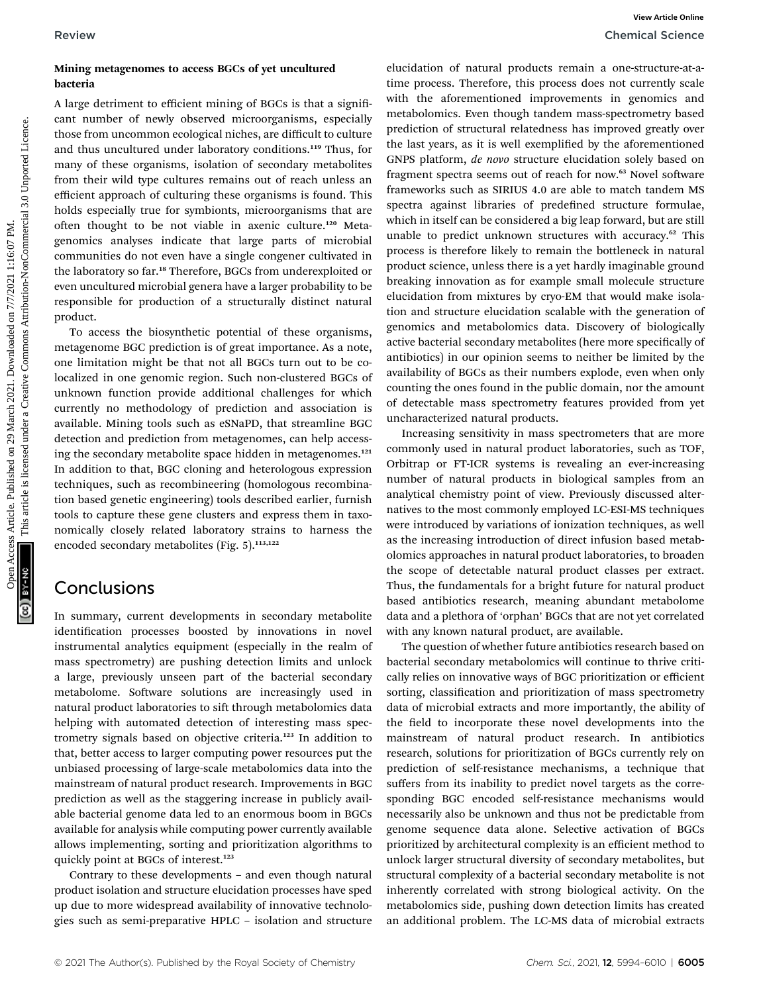#### Mining metagenomes to access BGCs of yet uncultured bacteria

A large detriment to efficient mining of BGCs is that a significant number of newly observed microorganisms, especially those from uncommon ecological niches, are difficult to culture and thus uncultured under laboratory conditions.<sup>119</sup> Thus, for many of these organisms, isolation of secondary metabolites from their wild type cultures remains out of reach unless an efficient approach of culturing these organisms is found. This holds especially true for symbionts, microorganisms that are often thought to be not viable in axenic culture.<sup>120</sup> Metagenomics analyses indicate that large parts of microbial communities do not even have a single congener cultivated in the laboratory so far.<sup>18</sup> Therefore, BGCs from underexploited or even uncultured microbial genera have a larger probability to be responsible for production of a structurally distinct natural product.

To access the biosynthetic potential of these organisms, metagenome BGC prediction is of great importance. As a note, one limitation might be that not all BGCs turn out to be colocalized in one genomic region. Such non-clustered BGCs of unknown function provide additional challenges for which currently no methodology of prediction and association is available. Mining tools such as eSNaPD, that streamline BGC detection and prediction from metagenomes, can help accessing the secondary metabolite space hidden in metagenomes.<sup>121</sup> In addition to that, BGC cloning and heterologous expression techniques, such as recombineering (homologous recombination based genetic engineering) tools described earlier, furnish tools to capture these gene clusters and express them in taxonomically closely related laboratory strains to harness the encoded secondary metabolites (Fig. 5).113,122

## **Conclusions**

In summary, current developments in secondary metabolite identification processes boosted by innovations in novel instrumental analytics equipment (especially in the realm of mass spectrometry) are pushing detection limits and unlock a large, previously unseen part of the bacterial secondary metabolome. Software solutions are increasingly used in natural product laboratories to sift through metabolomics data helping with automated detection of interesting mass spectrometry signals based on objective criteria.<sup>123</sup> In addition to that, better access to larger computing power resources put the unbiased processing of large-scale metabolomics data into the mainstream of natural product research. Improvements in BGC prediction as well as the staggering increase in publicly available bacterial genome data led to an enormous boom in BGCs available for analysis while computing power currently available allows implementing, sorting and prioritization algorithms to quickly point at BGCs of interest.<sup>123</sup>

Contrary to these developments – and even though natural product isolation and structure elucidation processes have sped up due to more widespread availability of innovative technologies such as semi-preparative HPLC – isolation and structure

elucidation of natural products remain a one-structure-at-atime process. Therefore, this process does not currently scale with the aforementioned improvements in genomics and metabolomics. Even though tandem mass-spectrometry based prediction of structural relatedness has improved greatly over the last years, as it is well exemplified by the aforementioned GNPS platform, de novo structure elucidation solely based on fragment spectra seems out of reach for now.<sup>63</sup> Novel software frameworks such as SIRIUS 4.0 are able to match tandem MS spectra against libraries of predefined structure formulae, which in itself can be considered a big leap forward, but are still unable to predict unknown structures with accuracy.<sup>62</sup> This process is therefore likely to remain the bottleneck in natural product science, unless there is a yet hardly imaginable ground breaking innovation as for example small molecule structure elucidation from mixtures by cryo-EM that would make isolation and structure elucidation scalable with the generation of genomics and metabolomics data. Discovery of biologically active bacterial secondary metabolites (here more specifically of antibiotics) in our opinion seems to neither be limited by the availability of BGCs as their numbers explode, even when only counting the ones found in the public domain, nor the amount of detectable mass spectrometry features provided from yet uncharacterized natural products. Review Correction and the computer of the control of the computer on 2021. The press, therefore, this press, the computer areas are commonly reduced and the most of the commonly are a more through the commonly are a more t

Increasing sensitivity in mass spectrometers that are more commonly used in natural product laboratories, such as TOF, Orbitrap or FT-ICR systems is revealing an ever-increasing number of natural products in biological samples from an analytical chemistry point of view. Previously discussed alternatives to the most commonly employed LC-ESI-MS techniques were introduced by variations of ionization techniques, as well as the increasing introduction of direct infusion based metabolomics approaches in natural product laboratories, to broaden the scope of detectable natural product classes per extract. Thus, the fundamentals for a bright future for natural product based antibiotics research, meaning abundant metabolome data and a plethora of 'orphan' BGCs that are not yet correlated with any known natural product, are available.

The question of whether future antibiotics research based on bacterial secondary metabolomics will continue to thrive critically relies on innovative ways of BGC prioritization or efficient sorting, classification and prioritization of mass spectrometry data of microbial extracts and more importantly, the ability of the field to incorporate these novel developments into the mainstream of natural product research. In antibiotics research, solutions for prioritization of BGCs currently rely on prediction of self-resistance mechanisms, a technique that suffers from its inability to predict novel targets as the corresponding BGC encoded self-resistance mechanisms would necessarily also be unknown and thus not be predictable from genome sequence data alone. Selective activation of BGCs prioritized by architectural complexity is an efficient method to unlock larger structural diversity of secondary metabolites, but structural complexity of a bacterial secondary metabolite is not inherently correlated with strong biological activity. On the metabolomics side, pushing down detection limits has created an additional problem. The LC-MS data of microbial extracts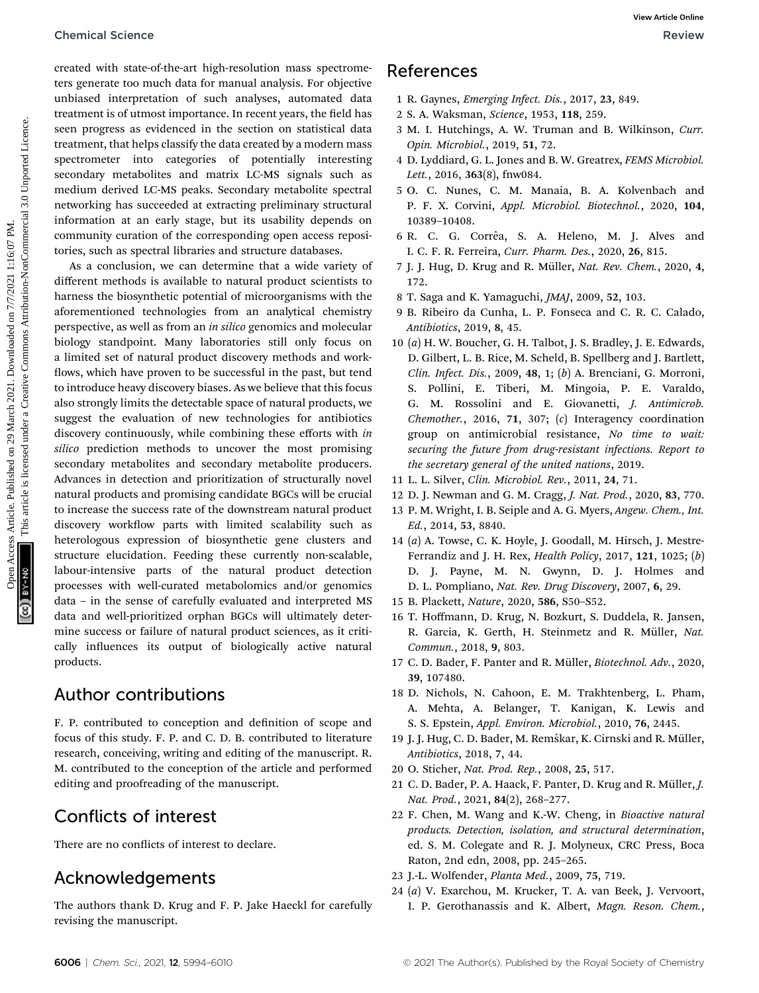created with state-of-the-art high-resolution mass spectrometers generate too much data for manual analysis. For objective unbiased interpretation of such analyses, automated data treatment is of utmost importance. In recent years, the field has seen progress as evidenced in the section on statistical data treatment, that helps classify the data created by a modern mass spectrometer into categories of potentially interesting secondary metabolites and matrix LC-MS signals such as medium derived LC-MS peaks. Secondary metabolite spectral networking has succeeded at extracting preliminary structural information at an early stage, but its usability depends on community curation of the corresponding open access repositories, such as spectral libraries and structure databases.

As a conclusion, we can determine that a wide variety of different methods is available to natural product scientists to harness the biosynthetic potential of microorganisms with the aforementioned technologies from an analytical chemistry perspective, as well as from an in silico genomics and molecular biology standpoint. Many laboratories still only focus on a limited set of natural product discovery methods and work flows, which have proven to be successful in the past, but tend to introduce heavy discovery biases. As we believe that this focus also strongly limits the detectable space of natural products, we suggest the evaluation of new technologies for antibiotics discovery continuously, while combining these efforts with in silico prediction methods to uncover the most promising secondary metabolites and secondary metabolite producers. Advances in detection and prioritization of structurally novel natural products and promising candidate BGCs will be crucial to increase the success rate of the downstream natural product discovery workflow parts with limited scalability such as heterologous expression of biosynthetic gene clusters and structure elucidation. Feeding these currently non-scalable, labour-intensive parts of the natural product detection processes with well-curated metabolomics and/or genomics data – in the sense of carefully evaluated and interpreted MS data and well-prioritized orphan BGCs will ultimately determine success or failure of natural product sciences, as it critically influences its output of biologically active natural products. Chemical Science<br>
Operation the comparison and the formula mass are distinct and the material strength are distinct in the common and the common control on 2021. The common control on 2012. The common control in the commo

## Author contributions

F. P. contributed to conception and definition of scope and focus of this study. F. P. and C. D. B. contributed to literature research, conceiving, writing and editing of the manuscript. R. M. contributed to the conception of the article and performed editing and proofreading of the manuscript.

## Conflicts of interest

There are no conflicts of interest to declare.

## Acknowledgements

The authors thank D. Krug and F. P. Jake Haeckl for carefully revising the manuscript.

## References

- 1 R. Gaynes, Emerging Infect. Dis., 2017, 23, 849.
- 2 S. A. Waksman, Science, 1953, 118, 259.
- 3 M. I. Hutchings, A. W. Truman and B. Wilkinson, Curr. Opin. Microbiol., 2019, 51, 72.
- 4 D. Lyddiard, G. L. Jones and B. W. Greatrex, FEMS Microbiol. Lett., 2016, 363(8), fnw084.
- 5 O. C. Nunes, C. M. Manaia, B. A. Kolvenbach and P. F. X. Corvini, Appl. Microbiol. Biotechnol., 2020, 104, 10389–10408.
- 6 R. C. G. Corrˆea, S. A. Heleno, M. J. Alves and I. C. F. R. Ferreira, Curr. Pharm. Des., 2020, 26, 815.
- 7 J. J. Hug, D. Krug and R. Müller, Nat. Rev. Chem., 2020, 4, 172.
- 8 T. Saga and K. Yamaguchi, JMAJ, 2009, 52, 103.
- 9 B. Ribeiro da Cunha, L. P. Fonseca and C. R. C. Calado, Antibiotics, 2019, 8, 45.
- 10 (a) H. W. Boucher, G. H. Talbot, J. S. Bradley, J. E. Edwards, D. Gilbert, L. B. Rice, M. Scheld, B. Spellberg and J. Bartlett, Clin. Infect. Dis., 2009, 48, 1; (b) A. Brenciani, G. Morroni, S. Pollini, E. Tiberi, M. Mingoia, P. E. Varaldo, G. M. Rossolini and E. Giovanetti, J. Antimicrob. Chemother., 2016, 71, 307; (c) Interagency coordination group on antimicrobial resistance, No time to wait: securing the future from drug-resistant infections. Report to the secretary general of the united nations, 2019.
- 11 L. L. Silver, Clin. Microbiol. Rev., 2011, 24, 71.
- 12 D. J. Newman and G. M. Cragg, J. Nat. Prod., 2020, 83, 770.
- 13 P. M. Wright, I. B. Seiple and A. G. Myers, Angew. Chem., Int. Ed., 2014, 53, 8840.
- 14 (a) A. Towse, C. K. Hoyle, J. Goodall, M. Hirsch, J. Mestre-Ferrandiz and J. H. Rex, Health Policy, 2017, 121, 1025; (b) D. J. Payne, M. N. Gwynn, D. J. Holmes and D. L. Pompliano, Nat. Rev. Drug Discovery, 2007, 6, 29.
- 15 B. Plackett, Nature, 2020, 586, S50–S52.
- 16 T. Hoffmann, D. Krug, N. Bozkurt, S. Duddela, R. Jansen, R. Garcia, K. Gerth, H. Steinmetz and R. Müller, Nat. Commun., 2018, 9, 803.
- 17 C. D. Bader, F. Panter and R. Müller, Biotechnol. Adv., 2020, 39, 107480.
- 18 D. Nichols, N. Cahoon, E. M. Trakhtenberg, L. Pham, A. Mehta, A. Belanger, T. Kanigan, K. Lewis and S. S. Epstein, Appl. Environ. Microbiol., 2010, 76, 2445.
- 19 J. J. Hug, C. D. Bader, M. Remškar, K. Cirnski and R. Müller, Antibiotics, 2018, 7, 44.
- 20 O. Sticher, Nat. Prod. Rep., 2008, 25, 517.
- 21 C. D. Bader, P. A. Haack, F. Panter, D. Krug and R. Müller, *J.* Nat. Prod., 2021, 84(2), 268–277.
- 22 F. Chen, M. Wang and K.-W. Cheng, in Bioactive natural products. Detection, isolation, and structural determination, ed. S. M. Colegate and R. J. Molyneux, CRC Press, Boca Raton, 2nd edn, 2008, pp. 245–265.
- 23 J.-L. Wolfender, Planta Med., 2009, 75, 719.
- 24 (a) V. Exarchou, M. Krucker, T. A. van Beek, J. Vervoort, I. P. Gerothanassis and K. Albert, Magn. Reson. Chem.,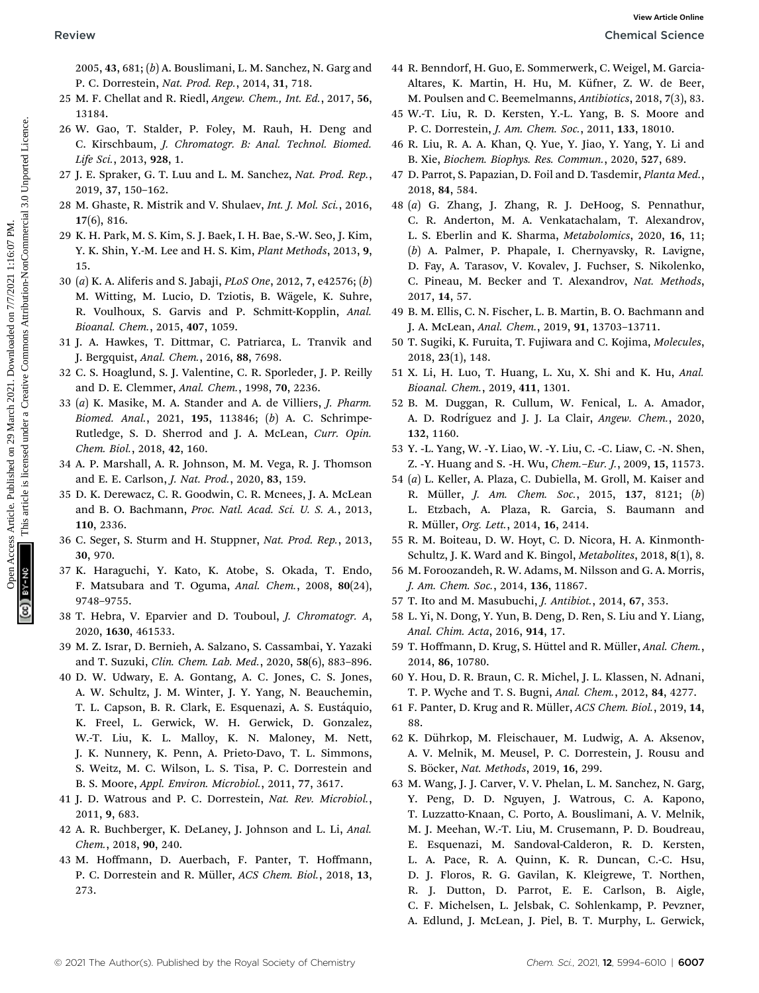2005, 43, 681; (b) A. Bouslimani, L. M. Sanchez, N. Garg and P. C. Dorrestein, Nat. Prod. Rep., 2014, 31, 718.

- 25 M. F. Chellat and R. Riedl, Angew. Chem., Int. Ed., 2017, 56, 13184.
- 26 W. Gao, T. Stalder, P. Foley, M. Rauh, H. Deng and C. Kirschbaum, J. Chromatogr. B: Anal. Technol. Biomed. Life Sci., 2013, 928, 1.
- 27 J. E. Spraker, G. T. Luu and L. M. Sanchez, Nat. Prod. Rep., 2019, 37, 150–162.
- 28 M. Ghaste, R. Mistrik and V. Shulaev, Int. J. Mol. Sci., 2016, 17(6), 816.
- 29 K. H. Park, M. S. Kim, S. J. Baek, I. H. Bae, S.-W. Seo, J. Kim, Y. K. Shin, Y.-M. Lee and H. S. Kim, Plant Methods, 2013, 9, 15.
- 30 (a) K. A. Aliferis and S. Jabaji, PLoS One, 2012, 7, e42576; (b) M. Witting, M. Lucio, D. Tziotis, B. Wägele, K. Suhre, R. Voulhoux, S. Garvis and P. Schmitt-Kopplin, Anal. Bioanal. Chem., 2015, 407, 1059.
- 31 J. A. Hawkes, T. Dittmar, C. Patriarca, L. Tranvik and J. Bergquist, Anal. Chem., 2016, 88, 7698.
- 32 C. S. Hoaglund, S. J. Valentine, C. R. Sporleder, J. P. Reilly and D. E. Clemmer, Anal. Chem., 1998, 70, 2236.
- 33 (a) K. Masike, M. A. Stander and A. de Villiers, J. Pharm. Biomed. Anal., 2021, 195, 113846; (b) A. C. Schrimpe-Rutledge, S. D. Sherrod and J. A. McLean, Curr. Opin. Chem. Biol., 2018, 42, 160.
- 34 A. P. Marshall, A. R. Johnson, M. M. Vega, R. J. Thomson and E. E. Carlson, J. Nat. Prod., 2020, 83, 159.
- 35 D. K. Derewacz, C. R. Goodwin, C. R. Mcnees, J. A. McLean and B. O. Bachmann, Proc. Natl. Acad. Sci. U. S. A., 2013, 110, 2336.
- 36 C. Seger, S. Sturm and H. Stuppner, Nat. Prod. Rep., 2013, 30, 970.
- 37 K. Haraguchi, Y. Kato, K. Atobe, S. Okada, T. Endo, F. Matsubara and T. Oguma, Anal. Chem., 2008, 80(24), 9748–9755.
- 38 T. Hebra, V. Eparvier and D. Touboul, J. Chromatogr. A, 2020, 1630, 461533.
- 39 M. Z. Israr, D. Bernieh, A. Salzano, S. Cassambai, Y. Yazaki and T. Suzuki, Clin. Chem. Lab. Med., 2020, 58(6), 883–896.
- 40 D. W. Udwary, E. A. Gontang, A. C. Jones, C. S. Jones, A. W. Schultz, J. M. Winter, J. Y. Yang, N. Beauchemin, T. L. Capson, B. R. Clark, E. Esquenazi, A. S. Eustáquio, K. Freel, L. Gerwick, W. H. Gerwick, D. Gonzalez, W.-T. Liu, K. L. Malloy, K. N. Maloney, M. Nett, J. K. Nunnery, K. Penn, A. Prieto-Davo, T. L. Simmons, S. Weitz, M. C. Wilson, L. S. Tisa, P. C. Dorrestein and B. S. Moore, Appl. Environ. Microbiol., 2011, 77, 3617.
- 41 J. D. Watrous and P. C. Dorrestein, Nat. Rev. Microbiol., 2011, 9, 683.
- 42 A. R. Buchberger, K. DeLaney, J. Johnson and L. Li, Anal. Chem., 2018, 90, 240.
- 43 M. Hoffmann, D. Auerbach, F. Panter, T. Hoffmann, P. C. Dorrestein and R. Müller, ACS Chem. Biol., 2018, 13, 273.
- 44 R. Benndorf, H. Guo, E. Sommerwerk, C. Weigel, M. Garcia-Altares, K. Martin, H. Hu, M. Küfner, Z. W. de Beer, M. Poulsen and C. Beemelmanns, Antibiotics, 2018, 7(3), 83.
- 45 W.-T. Liu, R. D. Kersten, Y.-L. Yang, B. S. Moore and P. C. Dorrestein, J. Am. Chem. Soc., 2011, 133, 18010.
- 46 R. Liu, R. A. A. Khan, Q. Yue, Y. Jiao, Y. Yang, Y. Li and B. Xie, Biochem. Biophys. Res. Commun., 2020, 527, 689.
- 47 D. Parrot, S. Papazian, D. Foil and D. Tasdemir, Planta Med., 2018, 84, 584.
- 48 (a) G. Zhang, J. Zhang, R. J. DeHoog, S. Pennathur, C. R. Anderton, M. A. Venkatachalam, T. Alexandrov, L. S. Eberlin and K. Sharma, Metabolomics, 2020, 16, 11; (b) A. Palmer, P. Phapale, I. Chernyavsky, R. Lavigne, D. Fay, A. Tarasov, V. Kovalev, J. Fuchser, S. Nikolenko, C. Pineau, M. Becker and T. Alexandrov, Nat. Methods, 2017, 14, 57. Review Commons Article Article article 2021. Article 2021. Downloaded on 2021. Downloaded on 2021. Downloaded on 2021. Downloaded to 2021. Downloaded under the set of the set of the set of the set of the set of the set of
	- 49 B. M. Ellis, C. N. Fischer, L. B. Martin, B. O. Bachmann and J. A. McLean, Anal. Chem., 2019, 91, 13703–13711.
	- 50 T. Sugiki, K. Furuita, T. Fujiwara and C. Kojima, Molecules, 2018, 23(1), 148.
	- 51 X. Li, H. Luo, T. Huang, L. Xu, X. Shi and K. Hu, Anal. Bioanal. Chem., 2019, 411, 1301.
	- 52 B. M. Duggan, R. Cullum, W. Fenical, L. A. Amador, A. D. Rodríguez and J. J. La Clair, Angew. Chem., 2020, 132, 1160.
	- 53 Y. -L. Yang, W. -Y. Liao, W. -Y. Liu, C. -C. Liaw, C. -N. Shen, Z. -Y. Huang and S. -H. Wu, Chem.–Eur. J., 2009, 15, 11573.
	- 54 (a) L. Keller, A. Plaza, C. Dubiella, M. Groll, M. Kaiser and R. Müller, *J. Am. Chem. Soc.*, 2015, 137, 8121; (b) L. Etzbach, A. Plaza, R. Garcia, S. Baumann and R. Müller, Org. Lett., 2014, 16, 2414.
	- 55 R. M. Boiteau, D. W. Hoyt, C. D. Nicora, H. A. Kinmonth-Schultz, J. K. Ward and K. Bingol, Metabolites, 2018, 8(1), 8.
	- 56 M. Foroozandeh, R. W. Adams, M. Nilsson and G. A. Morris, J. Am. Chem. Soc., 2014, 136, 11867.
	- 57 T. Ito and M. Masubuchi, J. Antibiot., 2014, 67, 353.
	- 58 L. Yi, N. Dong, Y. Yun, B. Deng, D. Ren, S. Liu and Y. Liang, Anal. Chim. Acta, 2016, 914, 17.
	- 59 T. Hoffmann, D. Krug, S. Hüttel and R. Müller, Anal. Chem., 2014, 86, 10780.
	- 60 Y. Hou, D. R. Braun, C. R. Michel, J. L. Klassen, N. Adnani, T. P. Wyche and T. S. Bugni, Anal. Chem., 2012, 84, 4277.
	- 61 F. Panter, D. Krug and R. Müller, ACS Chem. Biol., 2019, 14, 88.
	- 62 K. Dührkop, M. Fleischauer, M. Ludwig, A. A. Aksenov, A. V. Melnik, M. Meusel, P. C. Dorrestein, J. Rousu and S. Böcker, Nat. Methods, 2019, 16, 299.
	- 63 M. Wang, J. J. Carver, V. V. Phelan, L. M. Sanchez, N. Garg, Y. Peng, D. D. Nguyen, J. Watrous, C. A. Kapono, T. Luzzatto-Knaan, C. Porto, A. Bouslimani, A. V. Melnik, M. J. Meehan, W.-T. Liu, M. Crusemann, P. D. Boudreau, E. Esquenazi, M. Sandoval-Calderon, R. D. Kersten, L. A. Pace, R. A. Quinn, K. R. Duncan, C.-C. Hsu, D. J. Floros, R. G. Gavilan, K. Kleigrewe, T. Northen, R. J. Dutton, D. Parrot, E. E. Carlson, B. Aigle, C. F. Michelsen, L. Jelsbak, C. Sohlenkamp, P. Pevzner, A. Edlund, J. McLean, J. Piel, B. T. Murphy, L. Gerwick,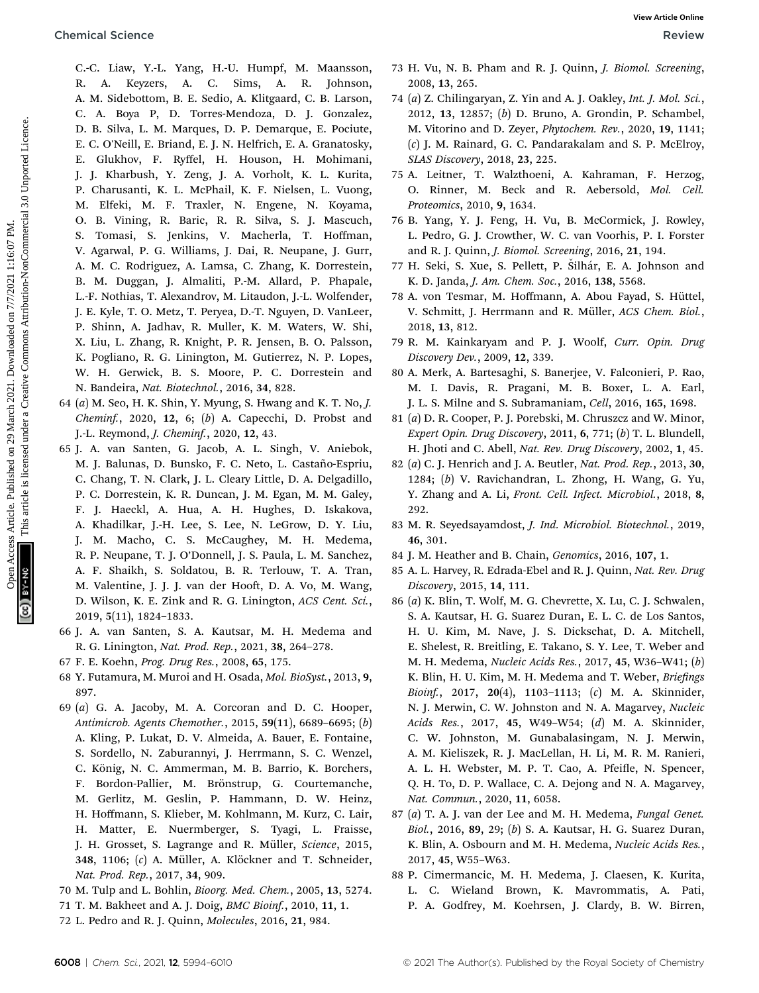C.-C. Liaw, Y.-L. Yang, H.-U. Humpf, M. Maansson, R. A. Keyzers, A. C. Sims, A. R. Johnson, A. M. Sidebottom, B. E. Sedio, A. Klitgaard, C. B. Larson, C. A. Boya P, D. Torres-Mendoza, D. J. Gonzalez, D. B. Silva, L. M. Marques, D. P. Demarque, E. Pociute, E. C. O'Neill, E. Briand, E. J. N. Helfrich, E. A. Granatosky, E. Glukhov, F. Ryffel, H. Houson, H. Mohimani, J. J. Kharbush, Y. Zeng, J. A. Vorholt, K. L. Kurita, P. Charusanti, K. L. McPhail, K. F. Nielsen, L. Vuong, M. Elfeki, M. F. Traxler, N. Engene, N. Koyama, O. B. Vining, R. Baric, R. R. Silva, S. J. Mascuch, S. Tomasi, S. Jenkins, V. Macherla, T. Hoffman, V. Agarwal, P. G. Williams, J. Dai, R. Neupane, J. Gurr, A. M. C. Rodriguez, A. Lamsa, C. Zhang, K. Dorrestein, B. M. Duggan, J. Almaliti, P.-M. Allard, P. Phapale, L.-F. Nothias, T. Alexandrov, M. Litaudon, J.-L. Wolfender, J. E. Kyle, T. O. Metz, T. Peryea, D.-T. Nguyen, D. VanLeer, P. Shinn, A. Jadhav, R. Muller, K. M. Waters, W. Shi, X. Liu, L. Zhang, R. Knight, P. R. Jensen, B. O. Palsson, K. Pogliano, R. G. Linington, M. Gutierrez, N. P. Lopes, W. H. Gerwick, B. S. Moore, P. C. Dorrestein and N. Bandeira, Nat. Biotechnol., 2016, 34, 828. Chemical Science Worschete on 2021. This published on 2021. The Common Capital Research 2021. Common Capital Research 2021. Common Capital Research 2021. Common Capital Research 2021. Common Capital Research 2021. The Sink

- 64 (a) M. Seo, H. K. Shin, Y. Myung, S. Hwang and K. T. No, J. Cheminf., 2020, 12, 6;  $(b)$  A. Capecchi, D. Probst and J.-L. Reymond, J. Cheminf., 2020, 12, 43.
- 65 J. A. van Santen, G. Jacob, A. L. Singh, V. Aniebok, M. J. Balunas, D. Bunsko, F. C. Neto, L. Castaño-Espriu, C. Chang, T. N. Clark, J. L. Cleary Little, D. A. Delgadillo, P. C. Dorrestein, K. R. Duncan, J. M. Egan, M. M. Galey, F. J. Haeckl, A. Hua, A. H. Hughes, D. Iskakova, A. Khadilkar, J.-H. Lee, S. Lee, N. LeGrow, D. Y. Liu, J. M. Macho, C. S. McCaughey, M. H. Medema, R. P. Neupane, T. J. O'Donnell, J. S. Paula, L. M. Sanchez, A. F. Shaikh, S. Soldatou, B. R. Terlouw, T. A. Tran, M. Valentine, J. J. J. van der Hooft, D. A. Vo, M. Wang, D. Wilson, K. E. Zink and R. G. Linington, ACS Cent. Sci., 2019, 5(11), 1824–1833.
- 66 J. A. van Santen, S. A. Kautsar, M. H. Medema and R. G. Linington, Nat. Prod. Rep., 2021, 38, 264–278.
- 67 F. E. Koehn, Prog. Drug Res., 2008, 65, 175.
- 68 Y. Futamura, M. Muroi and H. Osada, Mol. BioSyst., 2013, 9, 897.
- 69 (a) G. A. Jacoby, M. A. Corcoran and D. C. Hooper, Antimicrob. Agents Chemother., 2015, 59(11), 6689–6695; (b) A. Kling, P. Lukat, D. V. Almeida, A. Bauer, E. Fontaine, S. Sordello, N. Zaburannyi, J. Herrmann, S. C. Wenzel, C. König, N. C. Ammerman, M. B. Barrio, K. Borchers, F. Bordon-Pallier, M. Brönstrup, G. Courtemanche, M. Gerlitz, M. Geslin, P. Hammann, D. W. Heinz, H. Hoffmann, S. Klieber, M. Kohlmann, M. Kurz, C. Lair, H. Matter, E. Nuermberger, S. Tyagi, L. Fraisse, J. H. Grosset, S. Lagrange and R. Müller, Science, 2015, 348, 1106;  $(c)$  A. Müller, A. Klöckner and T. Schneider, Nat. Prod. Rep., 2017, 34, 909.
- 70 M. Tulp and L. Bohlin, Bioorg. Med. Chem., 2005, 13, 5274.
- 71 T. M. Bakheet and A. J. Doig, BMC Bioinf., 2010, 11, 1.
- 72 L. Pedro and R. J. Quinn, Molecules, 2016, 21, 984.
- 73 H. Vu, N. B. Pham and R. J. Quinn, J. Biomol. Screening, 2008, 13, 265.
- 74 (a) Z. Chilingaryan, Z. Yin and A. J. Oakley, Int. J. Mol. Sci., 2012, 13, 12857; (b) D. Bruno, A. Grondin, P. Schambel, M. Vitorino and D. Zeyer, Phytochem. Rev., 2020, 19, 1141; (c) J. M. Rainard, G. C. Pandarakalam and S. P. McElroy, SLAS Discovery, 2018, 23, 225.
- 75 A. Leitner, T. Walzthoeni, A. Kahraman, F. Herzog, O. Rinner, M. Beck and R. Aebersold, Mol. Cell. Proteomics, 2010, 9, 1634.
- 76 B. Yang, Y. J. Feng, H. Vu, B. McCormick, J. Rowley, L. Pedro, G. J. Crowther, W. C. van Voorhis, P. I. Forster and R. J. Quinn, J. Biomol. Screening, 2016, 21, 194.
- 77 H. Seki, S. Xue, S. Pellett, P. Silhár, E. A. Johnson and K. D. Janda, J. Am. Chem. Soc., 2016, 138, 5568.
- 78 A. von Tesmar, M. Hoffmann, A. Abou Fayad, S. Hüttel, V. Schmitt, J. Herrmann and R. Müller, ACS Chem. Biol., 2018, 13, 812.
- 79 R. M. Kainkaryam and P. J. Woolf, Curr. Opin. Drug Discovery Dev., 2009, 12, 339.
- 80 A. Merk, A. Bartesaghi, S. Banerjee, V. Falconieri, P. Rao, M. I. Davis, R. Pragani, M. B. Boxer, L. A. Earl, J. L. S. Milne and S. Subramaniam, Cell, 2016, 165, 1698.
- 81 (a) D. R. Cooper, P. J. Porebski, M. Chruszcz and W. Minor, Expert Opin. Drug Discovery, 2011, 6, 771; (b) T. L. Blundell, H. Jhoti and C. Abell, Nat. Rev. Drug Discovery, 2002, 1, 45.
- 82 (a) C. J. Henrich and J. A. Beutler, Nat. Prod. Rep., 2013, 30, 1284; (b) V. Ravichandran, L. Zhong, H. Wang, G. Yu, Y. Zhang and A. Li, Front. Cell. Infect. Microbiol., 2018, 8, 292.
- 83 M. R. Seyedsayamdost, J. Ind. Microbiol. Biotechnol., 2019, 46, 301.
- 84 J. M. Heather and B. Chain, Genomics, 2016, 107, 1.
- 85 A. L. Harvey, R. Edrada-Ebel and R. J. Quinn, Nat. Rev. Drug Discovery, 2015, 14, 111.
- 86 (a) K. Blin, T. Wolf, M. G. Chevrette, X. Lu, C. J. Schwalen, S. A. Kautsar, H. G. Suarez Duran, E. L. C. de Los Santos, H. U. Kim, M. Nave, J. S. Dickschat, D. A. Mitchell, E. Shelest, R. Breitling, E. Takano, S. Y. Lee, T. Weber and M. H. Medema, Nucleic Acids Res., 2017, 45, W36–W41; (b) K. Blin, H. U. Kim, M. H. Medema and T. Weber, Briefings Bioinf., 2017, 20(4), 1103–1113; (c) M. A. Skinnider, N. J. Merwin, C. W. Johnston and N. A. Magarvey, Nucleic Acids Res., 2017, 45, W49–W54; (d) M. A. Skinnider, C. W. Johnston, M. Gunabalasingam, N. J. Merwin, A. M. Kieliszek, R. J. MacLellan, H. Li, M. R. M. Ranieri, A. L. H. Webster, M. P. T. Cao, A. Pfeifle, N. Spencer, Q. H. To, D. P. Wallace, C. A. Dejong and N. A. Magarvey, Nat. Commun., 2020, 11, 6058.
- 87 (a) T. A. J. van der Lee and M. H. Medema, Fungal Genet. Biol., 2016, 89, 29; (b) S. A. Kautsar, H. G. Suarez Duran, K. Blin, A. Osbourn and M. H. Medema, Nucleic Acids Res., 2017, 45, W55–W63.
- 88 P. Cimermancic, M. H. Medema, J. Claesen, K. Kurita, L. C. Wieland Brown, K. Mavrommatis, A. Pati, P. A. Godfrey, M. Koehrsen, J. Clardy, B. W. Birren,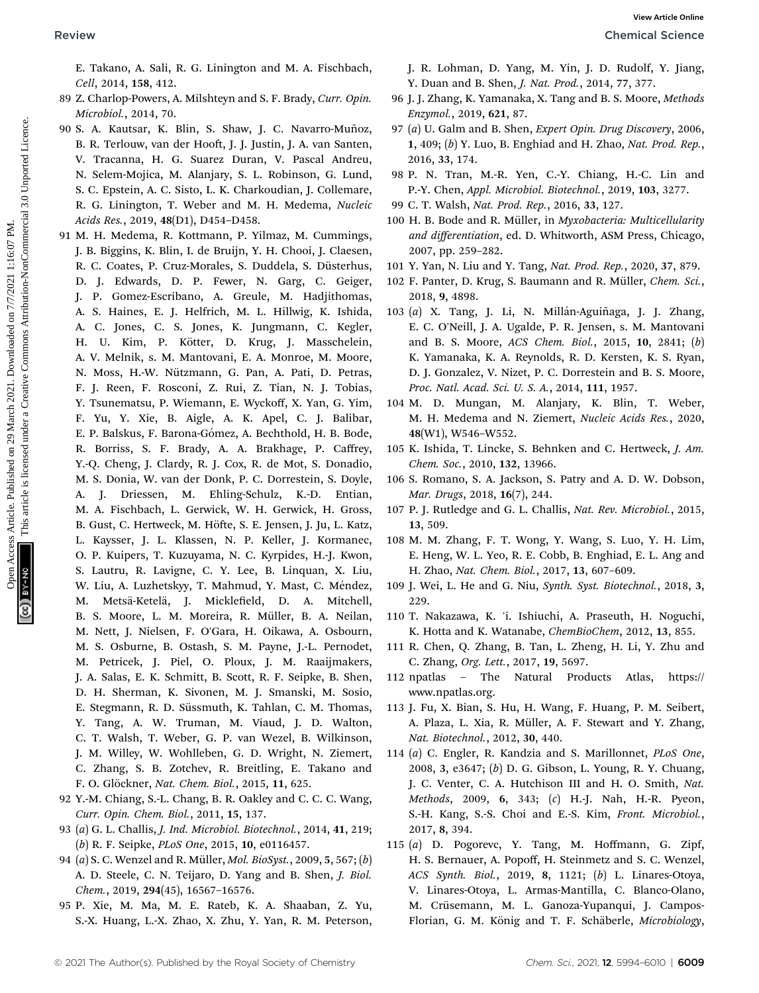E. Takano, A. Sali, R. G. Linington and M. A. Fischbach, Cell, 2014, 158, 412.

- 89 Z. Charlop-Powers, A. Milshteyn and S. F. Brady, Curr. Opin. Microbiol., 2014, 70.
- 90 S. A. Kautsar, K. Blin, S. Shaw, J. C. Navarro-Muñoz, B. R. Terlouw, van der Hooft, J. J. Justin, J. A. van Santen, V. Tracanna, H. G. Suarez Duran, V. Pascal Andreu, N. Selem-Mojica, M. Alanjary, S. L. Robinson, G. Lund, S. C. Epstein, A. C. Sisto, L. K. Charkoudian, J. Collemare, R. G. Linington, T. Weber and M. H. Medema, Nucleic Acids Res., 2019, 48(D1), D454–D458.
- 91 M. H. Medema, R. Kottmann, P. Yilmaz, M. Cummings, J. B. Biggins, K. Blin, I. de Bruijn, Y. H. Chooi, J. Claesen, R. C. Coates, P. Cruz-Morales, S. Duddela, S. Düsterhus, D. J. Edwards, D. P. Fewer, N. Garg, C. Geiger, J. P. Gomez-Escribano, A. Greule, M. Hadjithomas, A. S. Haines, E. J. Helfrich, M. L. Hillwig, K. Ishida, A. C. Jones, C. S. Jones, K. Jungmann, C. Kegler, H. U. Kim, P. Kötter, D. Krug, J. Masschelein, A. V. Melnik, s. M. Mantovani, E. A. Monroe, M. Moore, N. Moss, H.-W. Nützmann, G. Pan, A. Pati, D. Petras, F. J. Reen, F. Rosconi, Z. Rui, Z. Tian, N. J. Tobias, Y. Tsunematsu, P. Wiemann, E. Wyckoff, X. Yan, G. Yim, F. Yu, Y. Xie, B. Aigle, A. K. Apel, C. J. Balibar, E. P. Balskus, F. Barona-Gómez, A. Bechthold, H. B. Bode, R. Borriss, S. F. Brady, A. A. Brakhage, P. Caffrey, Y.-Q. Cheng, J. Clardy, R. J. Cox, R. de Mot, S. Donadio, M. S. Donia, W. van der Donk, P. C. Dorrestein, S. Doyle, A. J. Driessen, M. Ehling-Schulz, K.-D. Entian, M. A. Fischbach, L. Gerwick, W. H. Gerwick, H. Gross, B. Gust, C. Hertweck, M. Höfte, S. E. Jensen, J. Ju, L. Katz, L. Kaysser, J. L. Klassen, N. P. Keller, J. Kormanec, O. P. Kuipers, T. Kuzuyama, N. C. Kyrpides, H.-J. Kwon, S. Lautru, R. Lavigne, C. Y. Lee, B. Linquan, X. Liu, W. Liu, A. Luzhetskyy, T. Mahmud, Y. Mast, C. Méndez, M. Metsä-Ketelä, J. Micklefield, D. A. Mitchell, B. S. Moore, L. M. Moreira, R. Müller, B. A. Neilan, M. Nett, J. Nielsen, F. O'Gara, H. Oikawa, A. Osbourn, M. S. Osburne, B. Ostash, S. M. Payne, J.-L. Pernodet, M. Petricek, J. Piel, O. Ploux, J. M. Raaijmakers, J. A. Salas, E. K. Schmitt, B. Scott, R. F. Seipke, B. Shen, D. H. Sherman, K. Sivonen, M. J. Smanski, M. Sosio, E. Stegmann, R. D. Süssmuth, K. Tahlan, C. M. Thomas, Y. Tang, A. W. Truman, M. Viaud, J. D. Walton, C. T. Walsh, T. Weber, G. P. van Wezel, B. Wilkinson, J. M. Willey, W. Wohlleben, G. D. Wright, N. Ziemert, C. Zhang, S. B. Zotchev, R. Breitling, E. Takano and F. O. Glöckner, Nat. Chem. Biol., 2015, 11, 625. **Paccion**<br> **Commons Access Articles. Published on 2021. The main and N.A. Fischbach, M. Y. Burnamat, B. Y. Burnamat, B. Steph, M. P. D. Richard, F. Steph, 1990. Non-2021. Commons Attached on Attached on 7. The Commons Arti** 
	- 92 Y.-M. Chiang, S.-L. Chang, B. R. Oakley and C. C. C. Wang, Curr. Opin. Chem. Biol., 2011, 15, 137.
	- 93 (a) G. L. Challis, J. Ind. Microbiol. Biotechnol., 2014, 41, 219; (b) R. F. Seipke, PLoS One, 2015, 10, e0116457.
	- 94 (a) S. C. Wenzel and R. Müller, *Mol. BioSyst.*, 2009, 5, 567; (b) A. D. Steele, C. N. Teijaro, D. Yang and B. Shen, J. Biol. Chem., 2019, 294(45), 16567–16576.
	- 95 P. Xie, M. Ma, M. E. Rateb, K. A. Shaaban, Z. Yu, S.-X. Huang, L.-X. Zhao, X. Zhu, Y. Yan, R. M. Peterson,

J. R. Lohman, D. Yang, M. Yin, J. D. Rudolf, Y. Jiang, Y. Duan and B. Shen, J. Nat. Prod., 2014, 77, 377.

- 96 J. J. Zhang, K. Yamanaka, X. Tang and B. S. Moore, Methods Enzymol., 2019, 621, 87.
- 97 (a) U. Galm and B. Shen, Expert Opin. Drug Discovery, 2006, 1, 409; (b) Y. Luo, B. Enghiad and H. Zhao, Nat. Prod. Rep., 2016, 33, 174.
- 98 P. N. Tran, M.-R. Yen, C.-Y. Chiang, H.-C. Lin and P.-Y. Chen, Appl. Microbiol. Biotechnol., 2019, 103, 3277.
- 99 C. T. Walsh, Nat. Prod. Rep., 2016, 33, 127.
- 100 H. B. Bode and R. Müller, in Myxobacteria: Multicellularity and differentiation, ed. D. Whitworth, ASM Press, Chicago, 2007, pp. 259–282.
- 101 Y. Yan, N. Liu and Y. Tang, Nat. Prod. Rep., 2020, 37, 879.
- 102 F. Panter, D. Krug, S. Baumann and R. Müller, Chem. Sci., 2018, 9, 4898.
- 103  $(a)$  X. Tang, J. Li, N. Millán-Aguiñaga, J. J. Zhang, E. C. O'Neill, J. A. Ugalde, P. R. Jensen, s. M. Mantovani and B. S. Moore, ACS Chem. Biol., 2015, 10, 2841; (b) K. Yamanaka, K. A. Reynolds, R. D. Kersten, K. S. Ryan, D. J. Gonzalez, V. Nizet, P. C. Dorrestein and B. S. Moore, Proc. Natl. Acad. Sci. U. S. A., 2014, 111, 1957.
- 104 M. D. Mungan, M. Alanjary, K. Blin, T. Weber, M. H. Medema and N. Ziemert, Nucleic Acids Res., 2020, 48(W1), W546–W552.
- 105 K. Ishida, T. Lincke, S. Behnken and C. Hertweck, J. Am. Chem. Soc., 2010, 132, 13966.
- 106 S. Romano, S. A. Jackson, S. Patry and A. D. W. Dobson, Mar. Drugs, 2018, 16(7), 244.
- 107 P. J. Rutledge and G. L. Challis, Nat. Rev. Microbiol., 2015, 13, 509.
- 108 M. M. Zhang, F. T. Wong, Y. Wang, S. Luo, Y. H. Lim, E. Heng, W. L. Yeo, R. E. Cobb, B. Enghiad, E. L. Ang and H. Zhao, Nat. Chem. Biol., 2017, 13, 607–609.
- 109 J. Wei, L. He and G. Niu, Synth. Syst. Biotechnol., 2018, 3, 229.
- 110 T. Nakazawa, K. 'i. Ishiuchi, A. Praseuth, H. Noguchi, K. Hotta and K. Watanabe, ChemBioChem, 2012, 13, 855.
- 111 R. Chen, Q. Zhang, B. Tan, L. Zheng, H. Li, Y. Zhu and C. Zhang, Org. Lett., 2017, 19, 5697.
- 112 npatlas The Natural Products Atlas, https:// www.npatlas.org.
- 113 J. Fu, X. Bian, S. Hu, H. Wang, F. Huang, P. M. Seibert, A. Plaza, L. Xia, R. Müller, A. F. Stewart and Y. Zhang, Nat. Biotechnol., 2012, 30, 440.
- 114 (a) C. Engler, R. Kandzia and S. Marillonnet, PLoS One, 2008, 3, e3647; (b) D. G. Gibson, L. Young, R. Y. Chuang, J. C. Venter, C. A. Hutchison III and H. O. Smith, Nat. Methods, 2009, 6, 343; (c) H.-J. Nah, H.-R. Pyeon, S.-H. Kang, S.-S. Choi and E.-S. Kim, Front. Microbiol., 2017, 8, 394.
- 115 (a) D. Pogorevc, Y. Tang, M. Hoffmann, G. Zipf, H. S. Bernauer, A. Popoff, H. Steinmetz and S. C. Wenzel, ACS Synth. Biol., 2019, 8, 1121; (b) L. Linares-Otoya, V. Linares-Otoya, L. Armas-Mantilla, C. Blanco-Olano, M. Crüsemann, M. L. Ganoza-Yupanqui, J. Campos-Florian, G. M. König and T. F. Schäberle, Microbiology,